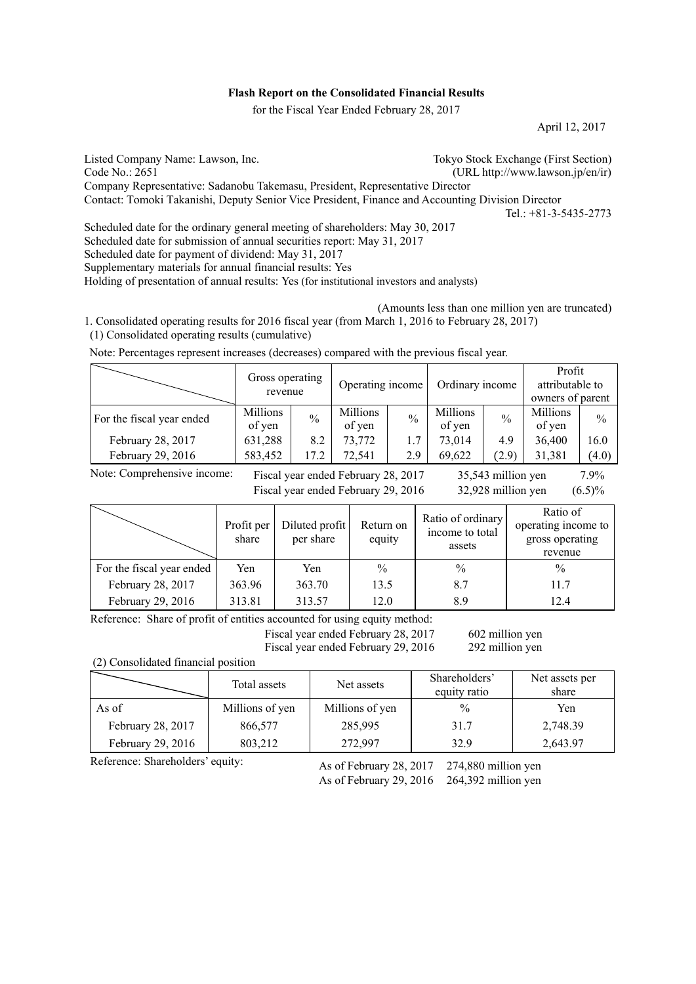# **Flash Report on the Consolidated Financial Results**

for the Fiscal Year Ended February 28, 2017

April 12, 2017

Listed Company Name: Lawson, Inc.<br>
Code No.: 2651 (URL http://www.lawson.jp/en/ir)  $(URL http://www.lawson.jp/en/ir)$ Company Representative: Sadanobu Takemasu, President, Representative Director Contact: Tomoki Takanishi, Deputy Senior Vice President, Finance and Accounting Division Director  $Tel: +81-3-5435-2773$ Scheduled date for the ordinary general meeting of shareholders: May 30, 2017 Scheduled date for submission of annual securities report: May 31, 2017

Scheduled date for payment of dividend: May 31, 2017

Supplementary materials for annual financial results: Yes

Holding of presentation of annual results: Yes (for institutional investors and analysts)

 (Amounts less than one million yen are truncated) 1. Consolidated operating results for 2016 fiscal year (from March 1, 2016 to February 28, 2017) (1) Consolidated operating results (cumulative)

Note: Percentages represent increases (decreases) compared with the previous fiscal year.

|                           | Gross operating<br>revenue |               | Operating income   |               | Ordinary income    |               | Profit<br>attributable to<br>owners of parent |               |
|---------------------------|----------------------------|---------------|--------------------|---------------|--------------------|---------------|-----------------------------------------------|---------------|
| For the fiscal year ended | Millions<br>of yen         | $\frac{0}{0}$ | Millions<br>of yen | $\frac{0}{0}$ | Millions<br>of yen | $\frac{0}{0}$ | Millions<br>of yen                            | $\frac{0}{0}$ |
| February 28, 2017         | 631,288                    | 8.2           | 73,772             | 1.7           | 73,014             | 4.9           | 36,400                                        | 16.0          |
| February 29, 2016         | 583,452                    | 17.2          | 72,541             | 2.9           | 69,622             | (2.9)         | 31,381                                        | (4.0)         |

Note: Comprehensive income:

Fiscal year ended February 28, 2017 35,543 million yen 7.9% Fiscal year ended February 29, 2016 32,928 million yen  $(6.5)\%$ 

| yen | $(6.5)^{c}$ |
|-----|-------------|
|     |             |

|                           | Profit per<br>share | Diluted profit<br>per share | Return on<br>equity | Ratio of ordinary<br>income to total<br>assets | Ratio of<br>operating income to<br>gross operating<br>revenue |
|---------------------------|---------------------|-----------------------------|---------------------|------------------------------------------------|---------------------------------------------------------------|
| For the fiscal year ended | Yen                 | Yen                         | $\frac{0}{0}$       | $\frac{0}{0}$                                  | $\frac{0}{0}$                                                 |
| February 28, 2017         | 363.96              | 363.70                      | 13.5                | 8.7                                            | 11.7                                                          |
| February 29, 2016         | 313.81              | 313.57                      | 12.0                | 8.9                                            | 12.4                                                          |

Reference: Share of profit of entities accounted for using equity method:

Fiscal year ended February 28, 2017 602 million yen

Fiscal year ended February 29, 2016 292 million yen

(2) Consolidated financial position

|                   | Total assets    | Net assets      | Shareholders'<br>equity ratio | Net assets per<br>share |
|-------------------|-----------------|-----------------|-------------------------------|-------------------------|
| As of             | Millions of yen | Millions of yen | $\frac{0}{0}$                 | Yen                     |
| February 28, 2017 | 866,577         | 285,995         | 31.7                          | 2,748.39                |
| February 29, 2016 | 803,212         | 272,997         | 32.9                          | 2,643.97                |

Reference: Shareholders' equity:

As of February 28, 2017 274,880 million yen

As of February 29, 2016 264,392 million yen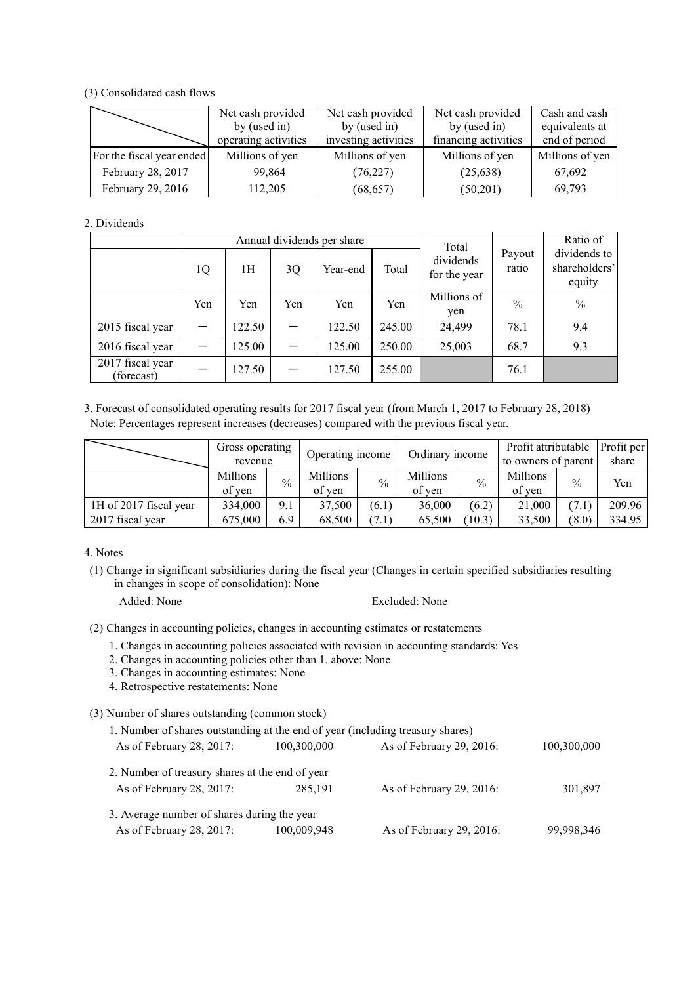(3) Consolidated cash flows

|                           | Net cash provided<br>by (used in)<br>operating activities | Net cash provided<br>by (used in)<br>investing activities | Net cash provided<br>by (used in)<br>financing activities | Cash and cash<br>equivalents at<br>end of period |
|---------------------------|-----------------------------------------------------------|-----------------------------------------------------------|-----------------------------------------------------------|--------------------------------------------------|
| For the fiscal year ended | Millions of yen                                           | Millions of yen                                           | Millions of yen                                           | Millions of yen                                  |
| February 28, 2017         | 99,864                                                    | (76, 227)                                                 | (25, 638)                                                 | 67,692                                           |
| February 29, 2016         | 112,205                                                   | (68, 657)                                                 | (50,201)                                                  | 69,793                                           |

2. Dividends

|                                             |     |        |     | Annual dividends per share | Total  |                           | Ratio of        |                                         |
|---------------------------------------------|-----|--------|-----|----------------------------|--------|---------------------------|-----------------|-----------------------------------------|
|                                             | 1Q  | 1Н     | 3Q  | Year-end                   | Total  | dividends<br>for the year | Payout<br>ratio | dividends to<br>shareholders'<br>equity |
|                                             | Yen | Yen    | Yen | Yen                        | Yen    | Millions of<br>yen        | $\frac{0}{0}$   | $\frac{0}{0}$                           |
| 2015 fiscal year                            |     | 122.50 |     | 122.50                     | 245.00 | 24,499                    | 78.1            | 9.4                                     |
| 2016 fiscal year                            |     | 125.00 |     | 125.00                     | 250.00 | 25,003                    | 68.7            | 9.3                                     |
| $\overline{20}17$ fiscal year<br>(forecast) |     | 127.50 |     | 127.50                     | 255.00 |                           | 76.1            |                                         |

3. Forecast of consolidated operating results for 2017 fiscal year (from March 1, 2017 to February 28, 2018) Note: Percentages represent increases (decreases) compared with the previous fiscal year.

|                        | Gross operating<br>revenue |      | Operating income   |               | Ordinary income    |        | Profit attributable<br>to owners of parent |               | Profit per<br>share |
|------------------------|----------------------------|------|--------------------|---------------|--------------------|--------|--------------------------------------------|---------------|---------------------|
|                        | Millions<br>of ven         | $\%$ | Millions<br>of ven | $\frac{0}{0}$ | Millions<br>of ven | $\%$   | Millions<br>of ven                         | $\frac{0}{0}$ | Yen                 |
| 1H of 2017 fiscal year | 334,000                    | 9.1  | 37,500             | (6.1)         | 36,000             | (6.2)  | 21,000                                     | (7.1)         | 209.96              |
| 2017 fiscal year       | 675,000                    | 6.9  | 68.500             | (7.1)         | 65,500             | (10.3) | 33,500                                     | (8.0)         | 334.95              |

4. Notes

- (1) Change in significant subsidiaries during the fiscal year (Changes in certain specified subsidiaries resulting in changes in scope of consolidation): None
	-

Added: None Excluded: None

(2) Changes in accounting policies, changes in accounting estimates or restatements

- 1. Changes in accounting policies associated with revision in accounting standards: Yes
- 2. Changes in accounting policies other than 1. above: None
- 3. Changes in accounting estimates: None
- 4. Retrospective restatements: None
- (3) Number of shares outstanding (common stock)

| 1. Number of shares outstanding at the end of year (including treasury shares) |             |                          |             |
|--------------------------------------------------------------------------------|-------------|--------------------------|-------------|
| As of February 28, 2017:                                                       | 100,300,000 | As of February 29, 2016: | 100,300,000 |
| 2. Number of treasury shares at the end of year                                |             |                          |             |
| As of February 28, 2017:                                                       | 285,191     | As of February 29, 2016: | 301,897     |
| 3. Average number of shares during the year                                    |             |                          |             |
| As of February 28, 2017:                                                       | 100,009,948 | As of February 29, 2016: | 99,998,346  |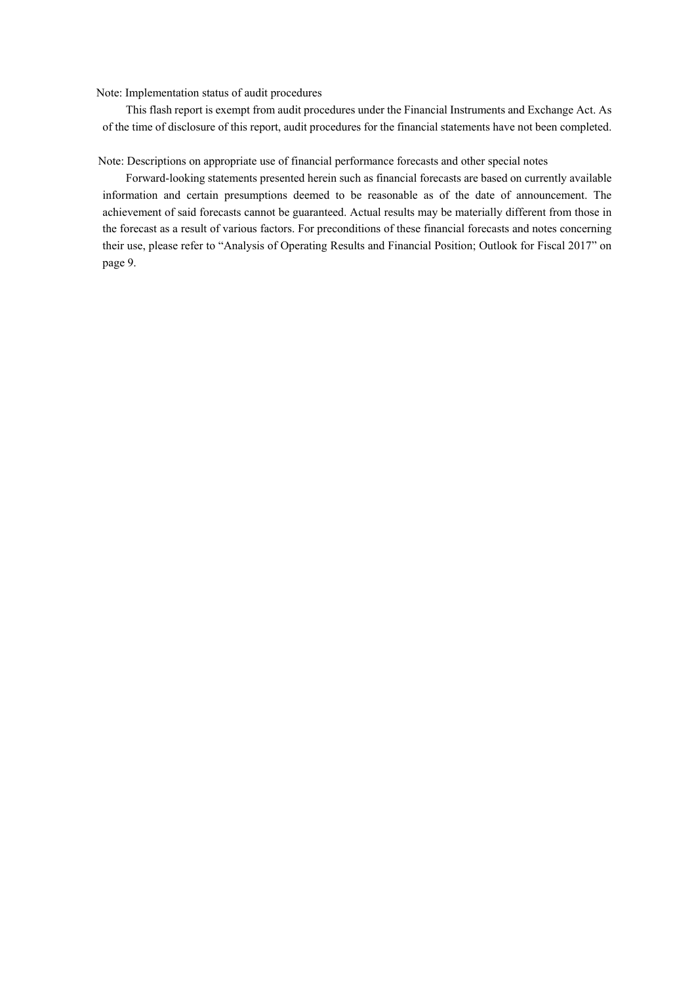Note: Implementation status of audit procedures

This flash report is exempt from audit procedures under the Financial Instruments and Exchange Act. As of the time of disclosure of this report, audit procedures for the financial statements have not been completed.

Note: Descriptions on appropriate use of financial performance forecasts and other special notes

Forward-looking statements presented herein such as financial forecasts are based on currently available information and certain presumptions deemed to be reasonable as of the date of announcement. The achievement of said forecasts cannot be guaranteed. Actual results may be materially different from those in the forecast as a result of various factors. For preconditions of these financial forecasts and notes concerning their use, please refer to "Analysis of Operating Results and Financial Position; Outlook for Fiscal 2017" on page 9.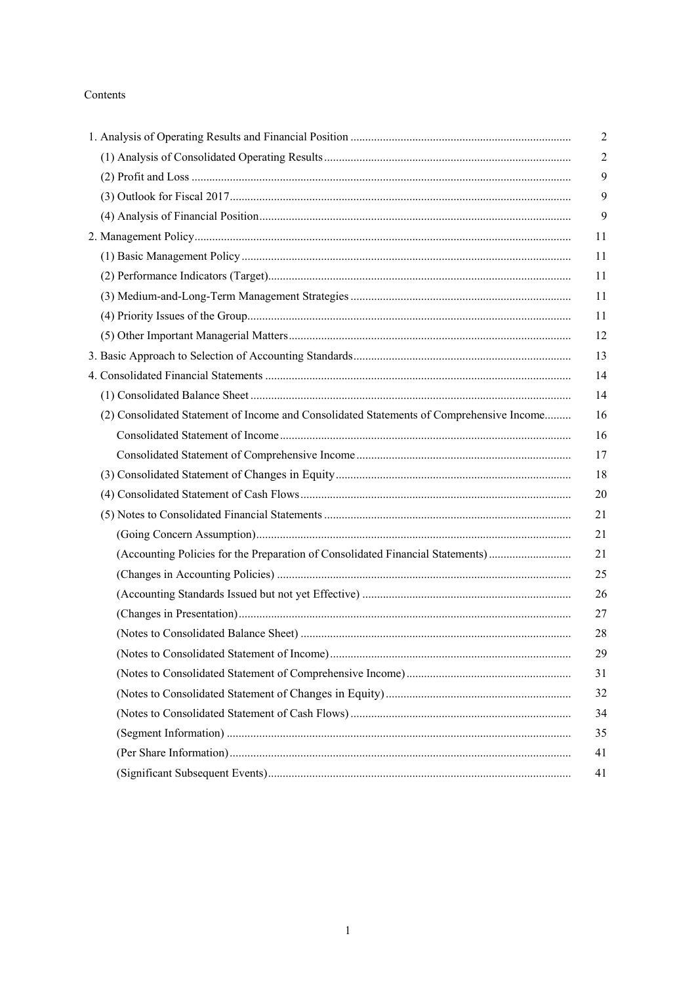# Contents

| (2) Consolidated Statement of Income and Consolidated Statements of Comprehensive Income |
|------------------------------------------------------------------------------------------|
|                                                                                          |
|                                                                                          |
|                                                                                          |
|                                                                                          |
|                                                                                          |
|                                                                                          |
| (Accounting Policies for the Preparation of Consolidated Financial Statements)           |
|                                                                                          |
|                                                                                          |
|                                                                                          |
|                                                                                          |
|                                                                                          |
|                                                                                          |
|                                                                                          |
|                                                                                          |
|                                                                                          |
|                                                                                          |
|                                                                                          |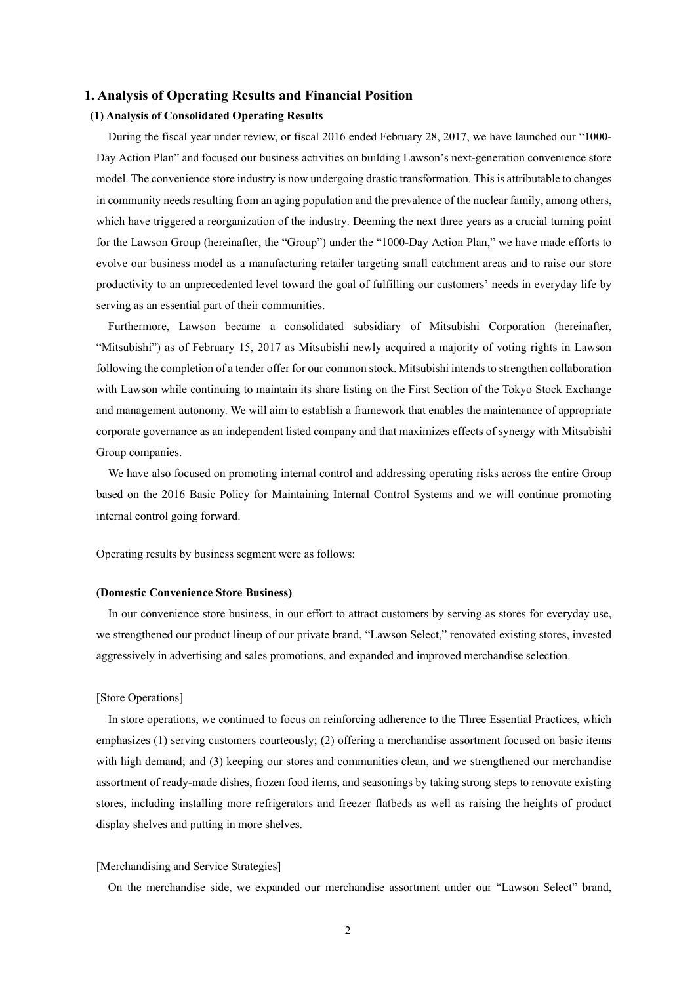# **1. Analysis of Operating Results and Financial Position**

## **(1) Analysis of Consolidated Operating Results**

During the fiscal year under review, or fiscal 2016 ended February 28, 2017, we have launched our "1000- Day Action Plan" and focused our business activities on building Lawson's next-generation convenience store model. The convenience store industry is now undergoing drastic transformation. This is attributable to changes in community needs resulting from an aging population and the prevalence of the nuclear family, among others, which have triggered a reorganization of the industry. Deeming the next three years as a crucial turning point for the Lawson Group (hereinafter, the "Group") under the "1000-Day Action Plan," we have made efforts to evolve our business model as a manufacturing retailer targeting small catchment areas and to raise our store productivity to an unprecedented level toward the goal of fulfilling our customers' needs in everyday life by serving as an essential part of their communities.

Furthermore, Lawson became a consolidated subsidiary of Mitsubishi Corporation (hereinafter, "Mitsubishi") as of February 15, 2017 as Mitsubishi newly acquired a majority of voting rights in Lawson following the completion of a tender offer for our common stock. Mitsubishi intends to strengthen collaboration with Lawson while continuing to maintain its share listing on the First Section of the Tokyo Stock Exchange and management autonomy. We will aim to establish a framework that enables the maintenance of appropriate corporate governance as an independent listed company and that maximizes effects of synergy with Mitsubishi Group companies.

We have also focused on promoting internal control and addressing operating risks across the entire Group based on the 2016 Basic Policy for Maintaining Internal Control Systems and we will continue promoting internal control going forward.

Operating results by business segment were as follows:

#### **(Domestic Convenience Store Business)**

In our convenience store business, in our effort to attract customers by serving as stores for everyday use, we strengthened our product lineup of our private brand, "Lawson Select," renovated existing stores, invested aggressively in advertising and sales promotions, and expanded and improved merchandise selection.

#### [Store Operations]

In store operations, we continued to focus on reinforcing adherence to the Three Essential Practices, which emphasizes (1) serving customers courteously; (2) offering a merchandise assortment focused on basic items with high demand; and (3) keeping our stores and communities clean, and we strengthened our merchandise assortment of ready-made dishes, frozen food items, and seasonings by taking strong steps to renovate existing stores, including installing more refrigerators and freezer flatbeds as well as raising the heights of product display shelves and putting in more shelves.

#### [Merchandising and Service Strategies]

On the merchandise side, we expanded our merchandise assortment under our "Lawson Select" brand,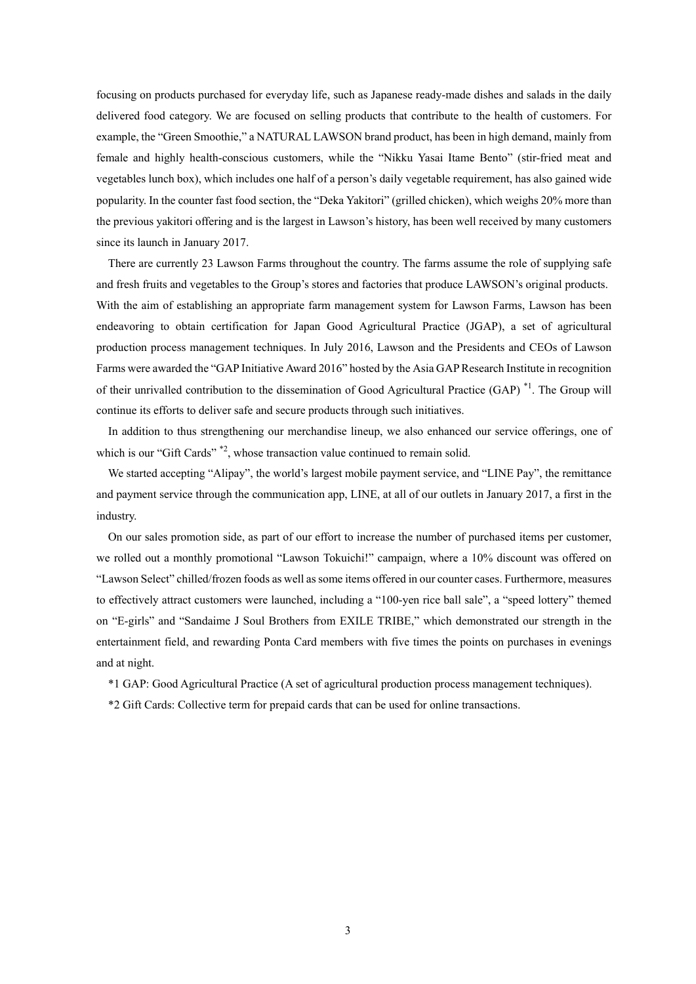focusing on products purchased for everyday life, such as Japanese ready-made dishes and salads in the daily delivered food category. We are focused on selling products that contribute to the health of customers. For example, the "Green Smoothie," a NATURAL LAWSON brand product, has been in high demand, mainly from female and highly health-conscious customers, while the "Nikku Yasai Itame Bento" (stir-fried meat and vegetables lunch box), which includes one half of a person's daily vegetable requirement, has also gained wide popularity. In the counter fast food section, the "Deka Yakitori" (grilled chicken), which weighs 20% more than the previous yakitori offering and is the largest in Lawson's history, has been well received by many customers since its launch in January 2017.

There are currently 23 Lawson Farms throughout the country. The farms assume the role of supplying safe and fresh fruits and vegetables to the Group's stores and factories that produce LAWSON's original products. With the aim of establishing an appropriate farm management system for Lawson Farms, Lawson has been endeavoring to obtain certification for Japan Good Agricultural Practice (JGAP), a set of agricultural production process management techniques. In July 2016, Lawson and the Presidents and CEOs of Lawson Farms were awarded the "GAP Initiative Award 2016" hosted by the Asia GAP Research Institute in recognition of their unrivalled contribution to the dissemination of Good Agricultural Practice (GAP) \*1. The Group will continue its efforts to deliver safe and secure products through such initiatives.

In addition to thus strengthening our merchandise lineup, we also enhanced our service offerings, one of which is our "Gift Cards"<sup>\*2</sup>, whose transaction value continued to remain solid.

We started accepting "Alipay", the world's largest mobile payment service, and "LINE Pay", the remittance and payment service through the communication app, LINE, at all of our outlets in January 2017, a first in the industry.

On our sales promotion side, as part of our effort to increase the number of purchased items per customer, we rolled out a monthly promotional "Lawson Tokuichi!" campaign, where a 10% discount was offered on "Lawson Select" chilled/frozen foods as well as some items offered in our counter cases. Furthermore, measures to effectively attract customers were launched, including a "100-yen rice ball sale", a "speed lottery" themed on "E-girls" and "Sandaime J Soul Brothers from EXILE TRIBE," which demonstrated our strength in the entertainment field, and rewarding Ponta Card members with five times the points on purchases in evenings and at night.

\*1 GAP: Good Agricultural Practice (A set of agricultural production process management techniques).

\*2 Gift Cards: Collective term for prepaid cards that can be used for online transactions.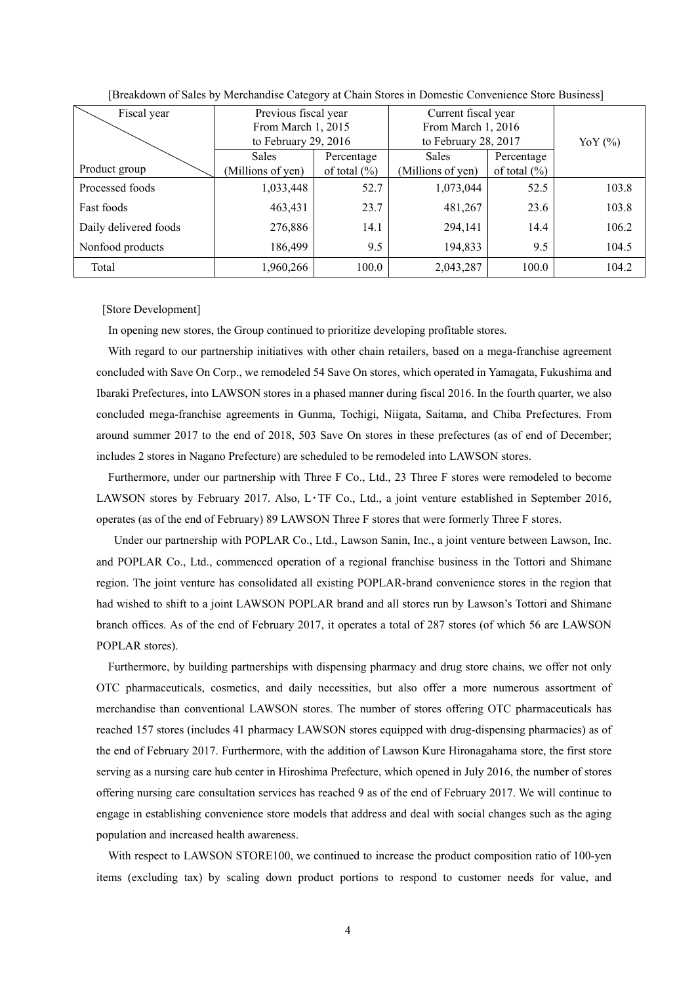| Fiscal year           | Previous fiscal year   |                  | Current fiscal year  |                  |           |
|-----------------------|------------------------|------------------|----------------------|------------------|-----------|
|                       | From March 1, 2015     |                  | From March 1, 2016   |                  |           |
|                       | to February 29, $2016$ |                  | to February 28, 2017 |                  | YoY $(%)$ |
|                       | <b>Sales</b>           | Percentage       | <b>Sales</b>         | Percentage       |           |
| Product group         | (Millions of yen)      | of total $(\% )$ | (Millions of yen)    | of total $(\% )$ |           |
| Processed foods       | 1,033,448              | 52.7             | 1,073,044            | 52.5             | 103.8     |
| Fast foods            | 463,431                | 23.7             | 481,267              | 23.6             | 103.8     |
| Daily delivered foods | 276,886                | 14.1             | 294,141              | 14.4             | 106.2     |
| Nonfood products      | 186,499                | 9.5              | 194,833              | 9.5              | 104.5     |
| Total                 | 1,960,266              | 100.0            | 2,043,287            | 100.0            | 104.2     |

[Breakdown of Sales by Merchandise Category at Chain Stores in Domestic Convenience Store Business]

[Store Development]

In opening new stores, the Group continued to prioritize developing profitable stores.

With regard to our partnership initiatives with other chain retailers, based on a mega-franchise agreement concluded with Save On Corp., we remodeled 54 Save On stores, which operated in Yamagata, Fukushima and Ibaraki Prefectures, into LAWSON stores in a phased manner during fiscal 2016. In the fourth quarter, we also concluded mega-franchise agreements in Gunma, Tochigi, Niigata, Saitama, and Chiba Prefectures. From around summer 2017 to the end of 2018, 503 Save On stores in these prefectures (as of end of December; includes 2 stores in Nagano Prefecture) are scheduled to be remodeled into LAWSON stores.

Furthermore, under our partnership with Three F Co., Ltd., 23 Three F stores were remodeled to become LAWSON stores by February 2017. Also, L・TF Co., Ltd., a joint venture established in September 2016, operates (as of the end of February) 89 LAWSON Three F stores that were formerly Three F stores.

 Under our partnership with POPLAR Co., Ltd., Lawson Sanin, Inc., a joint venture between Lawson, Inc. and POPLAR Co., Ltd., commenced operation of a regional franchise business in the Tottori and Shimane region. The joint venture has consolidated all existing POPLAR-brand convenience stores in the region that had wished to shift to a joint LAWSON POPLAR brand and all stores run by Lawson's Tottori and Shimane branch offices. As of the end of February 2017, it operates a total of 287 stores (of which 56 are LAWSON POPLAR stores).

Furthermore, by building partnerships with dispensing pharmacy and drug store chains, we offer not only OTC pharmaceuticals, cosmetics, and daily necessities, but also offer a more numerous assortment of merchandise than conventional LAWSON stores. The number of stores offering OTC pharmaceuticals has reached 157 stores (includes 41 pharmacy LAWSON stores equipped with drug-dispensing pharmacies) as of the end of February 2017. Furthermore, with the addition of Lawson Kure Hironagahama store, the first store serving as a nursing care hub center in Hiroshima Prefecture, which opened in July 2016, the number of stores offering nursing care consultation services has reached 9 as of the end of February 2017. We will continue to engage in establishing convenience store models that address and deal with social changes such as the aging population and increased health awareness.

With respect to LAWSON STORE100, we continued to increase the product composition ratio of 100-yen items (excluding tax) by scaling down product portions to respond to customer needs for value, and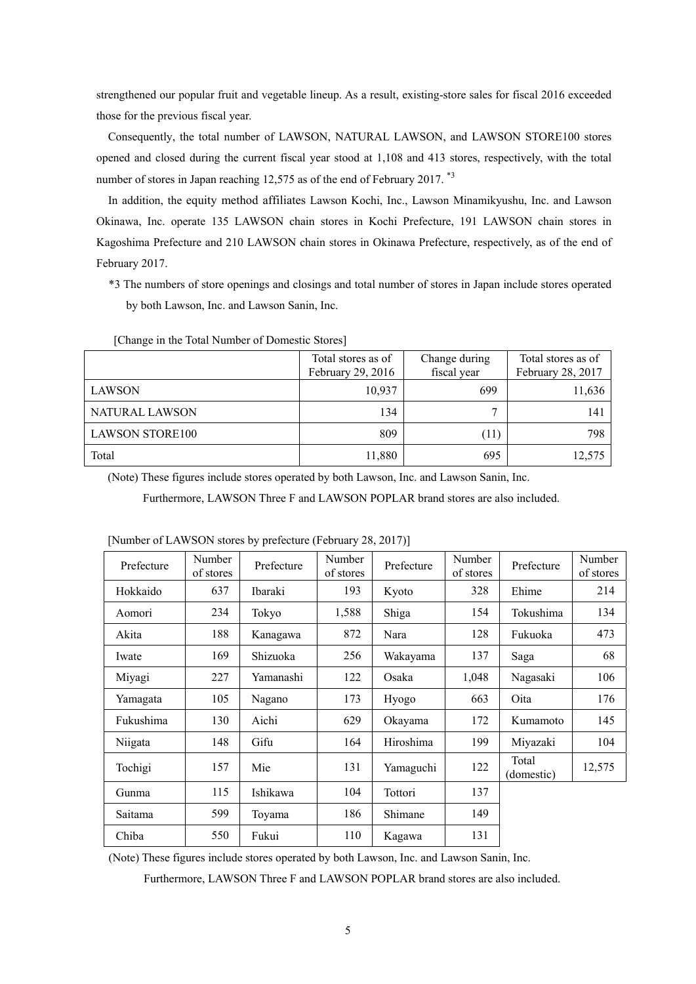strengthened our popular fruit and vegetable lineup. As a result, existing-store sales for fiscal 2016 exceeded those for the previous fiscal year.

Consequently, the total number of LAWSON, NATURAL LAWSON, and LAWSON STORE100 stores opened and closed during the current fiscal year stood at 1,108 and 413 stores, respectively, with the total number of stores in Japan reaching 12,575 as of the end of February 2017.<sup>\*3</sup>

In addition, the equity method affiliates Lawson Kochi, Inc., Lawson Minamikyushu, Inc. and Lawson Okinawa, Inc. operate 135 LAWSON chain stores in Kochi Prefecture, 191 LAWSON chain stores in Kagoshima Prefecture and 210 LAWSON chain stores in Okinawa Prefecture, respectively, as of the end of February 2017.

\*3 The numbers of store openings and closings and total number of stores in Japan include stores operated by both Lawson, Inc. and Lawson Sanin, Inc.

|                        | Total stores as of<br>February 29, 2016 | Change during<br>fiscal year | Total stores as of<br>February 28, 2017 |
|------------------------|-----------------------------------------|------------------------------|-----------------------------------------|
| <b>LAWSON</b>          | 10,937                                  | 699                          | 11,636                                  |
| NATURAL LAWSON         | 134                                     | 7                            | $14^\circ$                              |
| <b>LAWSON STORE100</b> | 809                                     | (11)                         | 798                                     |
| Total                  | 11,880                                  | 695                          | 12,575                                  |

[Change in the Total Number of Domestic Stores]

(Note) These figures include stores operated by both Lawson, Inc. and Lawson Sanin, Inc.

Furthermore, LAWSON Three F and LAWSON POPLAR brand stores are also included.

| Prefecture | Number<br>of stores | Prefecture | Number<br>of stores | Prefecture | Number<br>of stores | Prefecture          | Number<br>of stores |
|------------|---------------------|------------|---------------------|------------|---------------------|---------------------|---------------------|
| Hokkaido   | 637                 | Ibaraki    | 193                 | Kyoto      | 328                 | Ehime               | 214                 |
| Aomori     | 234                 | Tokyo      | 1,588               | Shiga      | 154                 | Tokushima           | 134                 |
| Akita      | 188                 | Kanagawa   | 872                 | Nara       | 128                 | Fukuoka             | 473                 |
| Iwate      | 169                 | Shizuoka   | 256                 | Wakayama   | 137                 | Saga                | 68                  |
| Miyagi     | 227                 | Yamanashi  | 122                 | Osaka      | 1,048               | Nagasaki            | 106                 |
| Yamagata   | 105                 | Nagano     | 173                 | Hyogo      | 663                 | Oita                | 176                 |
| Fukushima  | 130                 | Aichi      | 629                 | Okayama    | 172                 | Kumamoto            | 145                 |
| Niigata    | 148                 | Gifu       | 164                 | Hiroshima  | 199                 | Miyazaki            | 104                 |
| Tochigi    | 157                 | Mie        | 131                 | Yamaguchi  | 122                 | Total<br>(domestic) | 12,575              |
| Gunma      | 115                 | Ishikawa   | 104                 | Tottori    | 137                 |                     |                     |
| Saitama    | 599                 | Toyama     | 186                 | Shimane    | 149                 |                     |                     |
| Chiba      | 550                 | Fukui      | 110                 | Kagawa     | 131                 |                     |                     |

[Number of LAWSON stores by prefecture (February 28, 2017)]

(Note) These figures include stores operated by both Lawson, Inc. and Lawson Sanin, Inc.

Furthermore, LAWSON Three F and LAWSON POPLAR brand stores are also included.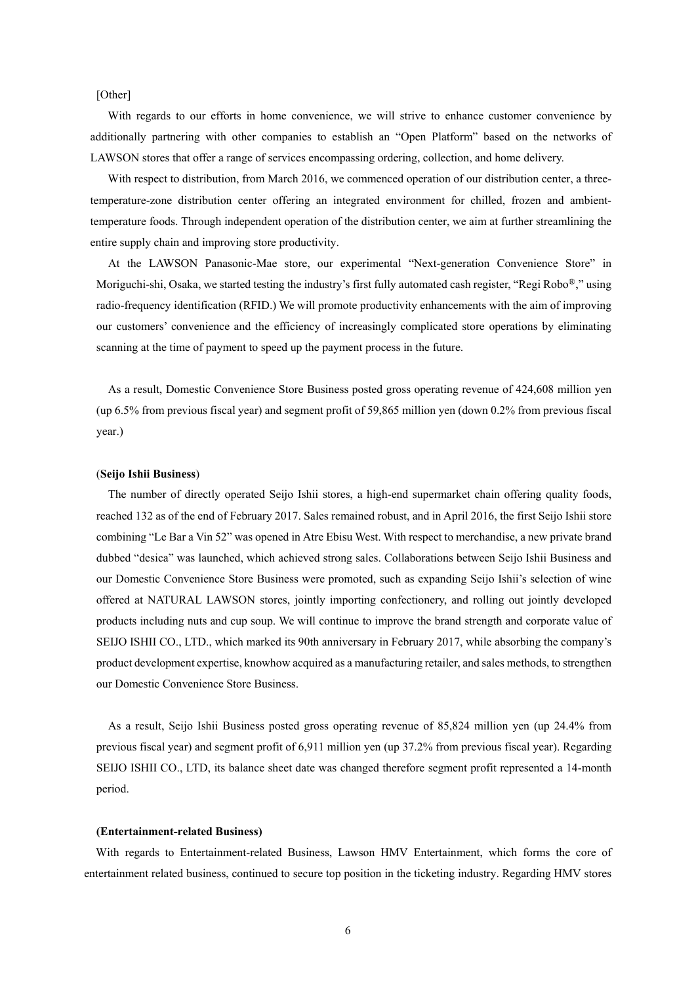[Other]

With regards to our efforts in home convenience, we will strive to enhance customer convenience by additionally partnering with other companies to establish an "Open Platform" based on the networks of LAWSON stores that offer a range of services encompassing ordering, collection, and home delivery.

With respect to distribution, from March 2016, we commenced operation of our distribution center, a threetemperature-zone distribution center offering an integrated environment for chilled, frozen and ambienttemperature foods. Through independent operation of the distribution center, we aim at further streamlining the entire supply chain and improving store productivity.

At the LAWSON Panasonic-Mae store, our experimental "Next-generation Convenience Store" in Moriguchi-shi, Osaka, we started testing the industry's first fully automated cash register, "Regi Robo $\mathbb{R}$ ", using radio-frequency identification (RFID.) We will promote productivity enhancements with the aim of improving our customers' convenience and the efficiency of increasingly complicated store operations by eliminating scanning at the time of payment to speed up the payment process in the future.

As a result, Domestic Convenience Store Business posted gross operating revenue of 424,608 million yen (up 6.5% from previous fiscal year) and segment profit of 59,865 million yen (down 0.2% from previous fiscal year.)

#### (**Seijo Ishii Business**)

The number of directly operated Seijo Ishii stores, a high-end supermarket chain offering quality foods, reached 132 as of the end of February 2017. Sales remained robust, and in April 2016, the first Seijo Ishii store combining "Le Bar a Vin 52" was opened in Atre Ebisu West. With respect to merchandise, a new private brand dubbed "desica" was launched, which achieved strong sales. Collaborations between Seijo Ishii Business and our Domestic Convenience Store Business were promoted, such as expanding Seijo Ishii's selection of wine offered at NATURAL LAWSON stores, jointly importing confectionery, and rolling out jointly developed products including nuts and cup soup. We will continue to improve the brand strength and corporate value of SEIJO ISHII CO., LTD., which marked its 90th anniversary in February 2017, while absorbing the company's product development expertise, knowhow acquired as a manufacturing retailer, and sales methods, to strengthen our Domestic Convenience Store Business.

As a result, Seijo Ishii Business posted gross operating revenue of 85,824 million yen (up 24.4% from previous fiscal year) and segment profit of 6,911 million yen (up 37.2% from previous fiscal year). Regarding SEIJO ISHII CO., LTD, its balance sheet date was changed therefore segment profit represented a 14-month period.

#### **(Entertainment-related Business)**

With regards to Entertainment-related Business, Lawson HMV Entertainment, which forms the core of entertainment related business, continued to secure top position in the ticketing industry. Regarding HMV stores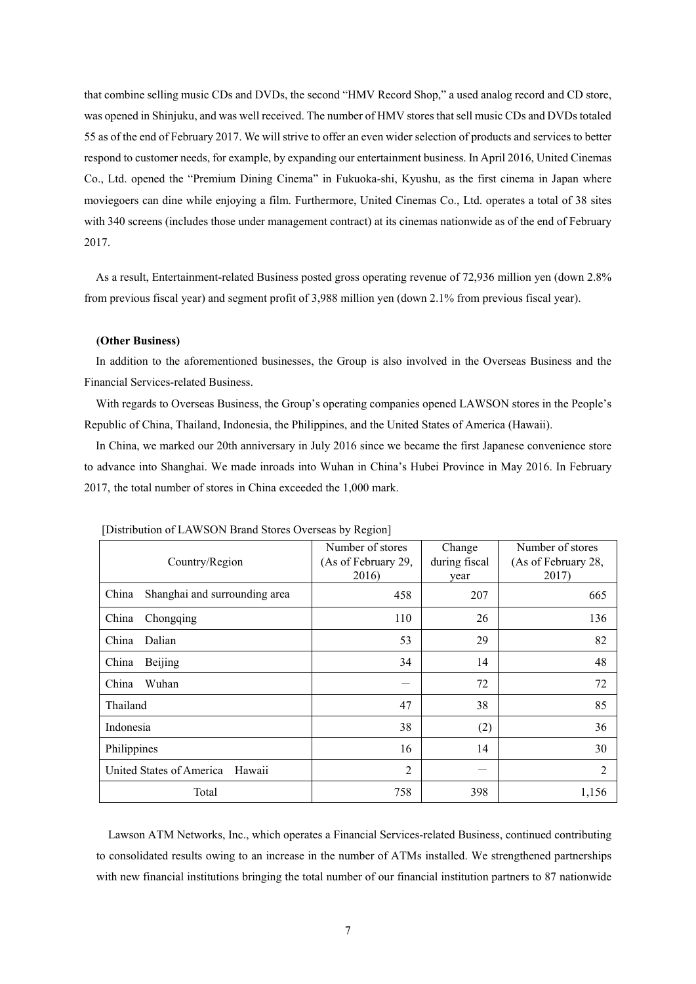that combine selling music CDs and DVDs, the second "HMV Record Shop," a used analog record and CD store, was opened in Shinjuku, and was well received. The number of HMV stores that sell music CDs and DVDs totaled 55 as of the end of February 2017. We will strive to offer an even wider selection of products and services to better respond to customer needs, for example, by expanding our entertainment business. In April 2016, United Cinemas Co., Ltd. opened the "Premium Dining Cinema" in Fukuoka-shi, Kyushu, as the first cinema in Japan where moviegoers can dine while enjoying a film. Furthermore, United Cinemas Co., Ltd. operates a total of 38 sites with 340 screens (includes those under management contract) at its cinemas nationwide as of the end of February 2017.

As a result, Entertainment-related Business posted gross operating revenue of 72,936 million yen (down 2.8% from previous fiscal year) and segment profit of 3,988 million yen (down 2.1% from previous fiscal year).

#### **(Other Business)**

In addition to the aforementioned businesses, the Group is also involved in the Overseas Business and the Financial Services-related Business.

With regards to Overseas Business, the Group's operating companies opened LAWSON stores in the People's Republic of China, Thailand, Indonesia, the Philippines, and the United States of America (Hawaii).

In China, we marked our 20th anniversary in July 2016 since we became the first Japanese convenience store to advance into Shanghai. We made inroads into Wuhan in China's Hubei Province in May 2016. In February 2017, the total number of stores in China exceeded the 1,000 mark.

| Country/Region                         | Number of stores<br>(As of February 29,<br>2016) | Change<br>during fiscal<br>year | Number of stores<br>(As of February 28,<br>2017) |
|----------------------------------------|--------------------------------------------------|---------------------------------|--------------------------------------------------|
| China<br>Shanghai and surrounding area | 458                                              | 207                             | 665                                              |
| China<br>Chongqing                     | 110                                              | 26                              | 136                                              |
| Dalian<br>China                        | 53                                               | 29                              | 82                                               |
| Beijing<br>China                       | 34                                               | 14                              | 48                                               |
| China<br>Wuhan                         |                                                  | 72                              | 72                                               |
| Thailand                               | 47                                               | 38                              | 85                                               |
| Indonesia                              | 38                                               | (2)                             | 36                                               |
| Philippines                            | 16                                               | 14                              | 30                                               |
| United States of America<br>Hawaii     | $\overline{2}$                                   |                                 | 2                                                |
| Total                                  | 758                                              | 398                             | 1,156                                            |

[Distribution of LAWSON Brand Stores Overseas by Region]

Lawson ATM Networks, Inc., which operates a Financial Services-related Business, continued contributing to consolidated results owing to an increase in the number of ATMs installed. We strengthened partnerships with new financial institutions bringing the total number of our financial institution partners to 87 nationwide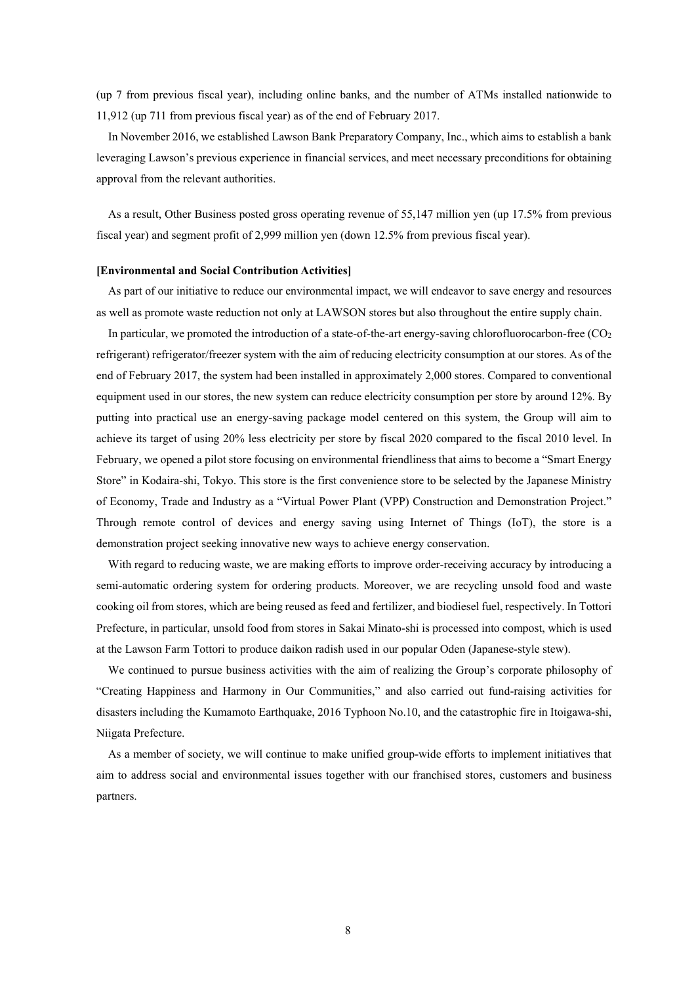(up 7 from previous fiscal year), including online banks, and the number of ATMs installed nationwide to 11,912 (up 711 from previous fiscal year) as of the end of February 2017.

In November 2016, we established Lawson Bank Preparatory Company, Inc., which aims to establish a bank leveraging Lawson's previous experience in financial services, and meet necessary preconditions for obtaining approval from the relevant authorities.

As a result, Other Business posted gross operating revenue of 55,147 million yen (up 17.5% from previous fiscal year) and segment profit of 2,999 million yen (down 12.5% from previous fiscal year).

#### **[Environmental and Social Contribution Activities]**

As part of our initiative to reduce our environmental impact, we will endeavor to save energy and resources as well as promote waste reduction not only at LAWSON stores but also throughout the entire supply chain.

In particular, we promoted the introduction of a state-of-the-art energy-saving chlorofluorocarbon-free  $(CO<sub>2</sub>)$ refrigerant) refrigerator/freezer system with the aim of reducing electricity consumption at our stores. As of the end of February 2017, the system had been installed in approximately 2,000 stores. Compared to conventional equipment used in our stores, the new system can reduce electricity consumption per store by around 12%. By putting into practical use an energy-saving package model centered on this system, the Group will aim to achieve its target of using 20% less electricity per store by fiscal 2020 compared to the fiscal 2010 level. In February, we opened a pilot store focusing on environmental friendliness that aims to become a "Smart Energy Store" in Kodaira-shi, Tokyo. This store is the first convenience store to be selected by the Japanese Ministry of Economy, Trade and Industry as a "Virtual Power Plant (VPP) Construction and Demonstration Project." Through remote control of devices and energy saving using Internet of Things (IoT), the store is a demonstration project seeking innovative new ways to achieve energy conservation.

With regard to reducing waste, we are making efforts to improve order-receiving accuracy by introducing a semi-automatic ordering system for ordering products. Moreover, we are recycling unsold food and waste cooking oil from stores, which are being reused as feed and fertilizer, and biodiesel fuel, respectively. In Tottori Prefecture, in particular, unsold food from stores in Sakai Minato-shi is processed into compost, which is used at the Lawson Farm Tottori to produce daikon radish used in our popular Oden (Japanese-style stew).

We continued to pursue business activities with the aim of realizing the Group's corporate philosophy of "Creating Happiness and Harmony in Our Communities," and also carried out fund-raising activities for disasters including the Kumamoto Earthquake, 2016 Typhoon No.10, and the catastrophic fire in Itoigawa-shi, Niigata Prefecture.

As a member of society, we will continue to make unified group-wide efforts to implement initiatives that aim to address social and environmental issues together with our franchised stores, customers and business partners.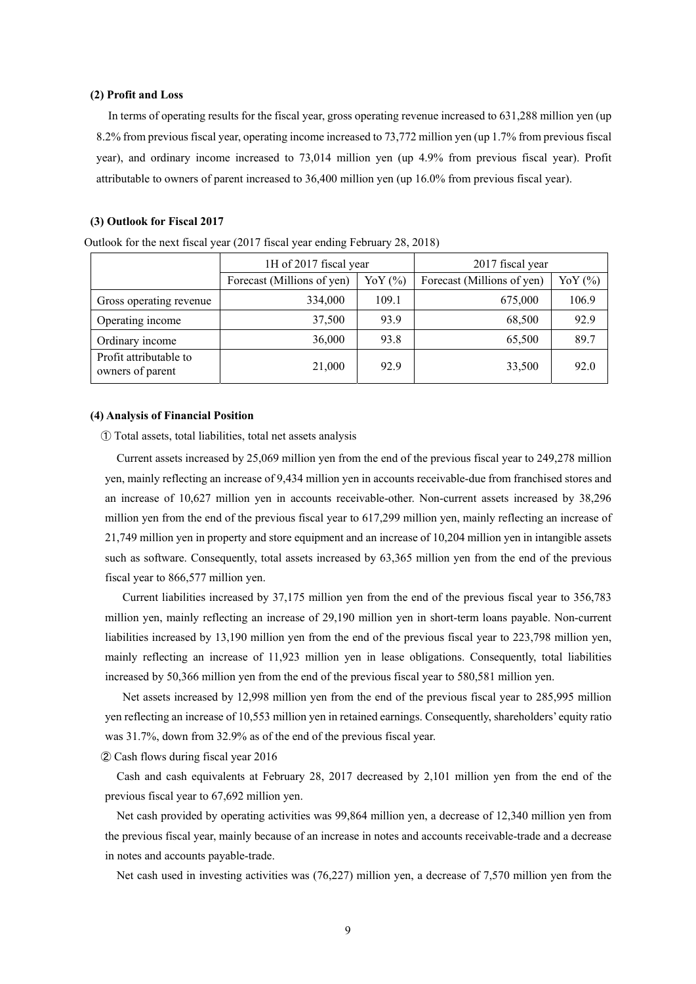#### **(2) Profit and Loss**

In terms of operating results for the fiscal year, gross operating revenue increased to 631,288 million yen (up 8.2% from previous fiscal year, operating income increased to 73,772 million yen (up 1.7% from previous fiscal year), and ordinary income increased to 73,014 million yen (up 4.9% from previous fiscal year). Profit attributable to owners of parent increased to 36,400 million yen (up 16.0% from previous fiscal year).

#### **(3) Outlook for Fiscal 2017**

|                                            | 1H of 2017 fiscal year     |             | 2017 fiscal year |           |  |  |
|--------------------------------------------|----------------------------|-------------|------------------|-----------|--|--|
|                                            | Forecast (Millions of yen) | YoY $(\% )$ |                  | YoY $(%)$ |  |  |
| Gross operating revenue                    | 334,000                    | 109.1       | 675,000          | 106.9     |  |  |
| Operating income                           | 37,500                     | 93.9        | 68,500           | 92.9      |  |  |
| Ordinary income                            | 36,000                     | 93.8        | 65,500           | 89.7      |  |  |
| Profit attributable to<br>owners of parent | 21,000                     | 92.9        | 33,500           | 92.0      |  |  |

Outlook for the next fiscal year (2017 fiscal year ending February 28, 2018)

#### **(4) Analysis of Financial Position**

① Total assets, total liabilities, total net assets analysis

Current assets increased by 25,069 million yen from the end of the previous fiscal year to 249,278 million yen, mainly reflecting an increase of 9,434 million yen in accounts receivable-due from franchised stores and an increase of 10,627 million yen in accounts receivable-other. Non-current assets increased by 38,296 million yen from the end of the previous fiscal year to 617,299 million yen, mainly reflecting an increase of 21,749 million yen in property and store equipment and an increase of 10,204 million yen in intangible assets such as software. Consequently, total assets increased by 63,365 million yen from the end of the previous fiscal year to 866,577 million yen.

 Current liabilities increased by 37,175 million yen from the end of the previous fiscal year to 356,783 million yen, mainly reflecting an increase of 29,190 million yen in short-term loans payable. Non-current liabilities increased by 13,190 million yen from the end of the previous fiscal year to 223,798 million yen, mainly reflecting an increase of 11,923 million yen in lease obligations. Consequently, total liabilities increased by 50,366 million yen from the end of the previous fiscal year to 580,581 million yen.

 Net assets increased by 12,998 million yen from the end of the previous fiscal year to 285,995 million yen reflecting an increase of 10,553 million yen in retained earnings. Consequently, shareholders' equity ratio was 31.7%, down from 32.9% as of the end of the previous fiscal year.

② Cash flows during fiscal year 2016

Cash and cash equivalents at February 28, 2017 decreased by 2,101 million yen from the end of the previous fiscal year to 67,692 million yen.

Net cash provided by operating activities was 99,864 million yen, a decrease of 12,340 million yen from the previous fiscal year, mainly because of an increase in notes and accounts receivable-trade and a decrease in notes and accounts payable-trade.

Net cash used in investing activities was (76,227) million yen, a decrease of 7,570 million yen from the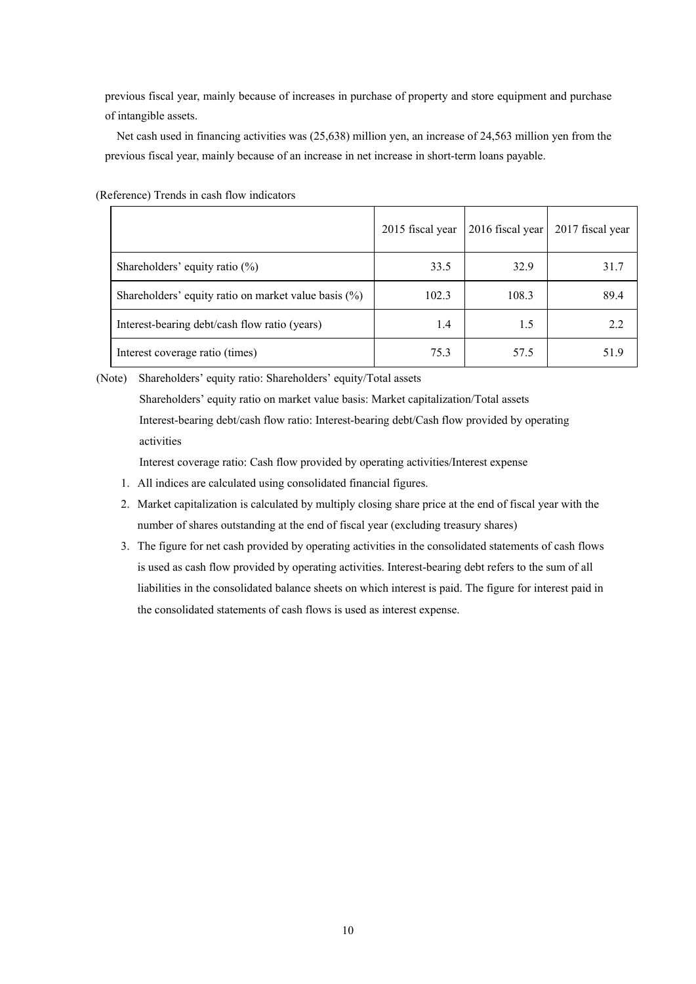previous fiscal year, mainly because of increases in purchase of property and store equipment and purchase of intangible assets.

Net cash used in financing activities was (25,638) million yen, an increase of 24,563 million yen from the previous fiscal year, mainly because of an increase in net increase in short-term loans payable.

|                                                      | 2015 fiscal year | 2016 fiscal year | 2017 fiscal year |
|------------------------------------------------------|------------------|------------------|------------------|
| Shareholders' equity ratio $(\%)$                    | 33.5             | 32.9             | 31.7             |
| Shareholders' equity ratio on market value basis (%) | 102.3            | 108.3            | 89.4             |
| Interest-bearing debt/cash flow ratio (years)        | 1.4              | 1.5              | 2.2              |
| Interest coverage ratio (times)                      | 75.3             | 57.5             | 51.9             |

(Reference) Trends in cash flow indicators

(Note) Shareholders' equity ratio: Shareholders' equity/Total assets

Shareholders' equity ratio on market value basis: Market capitalization/Total assets Interest-bearing debt/cash flow ratio: Interest-bearing debt/Cash flow provided by operating activities

Interest coverage ratio: Cash flow provided by operating activities/Interest expense

- 1. All indices are calculated using consolidated financial figures.
- 2. Market capitalization is calculated by multiply closing share price at the end of fiscal year with the number of shares outstanding at the end of fiscal year (excluding treasury shares)
- 3. The figure for net cash provided by operating activities in the consolidated statements of cash flows is used as cash flow provided by operating activities. Interest-bearing debt refers to the sum of all liabilities in the consolidated balance sheets on which interest is paid. The figure for interest paid in the consolidated statements of cash flows is used as interest expense.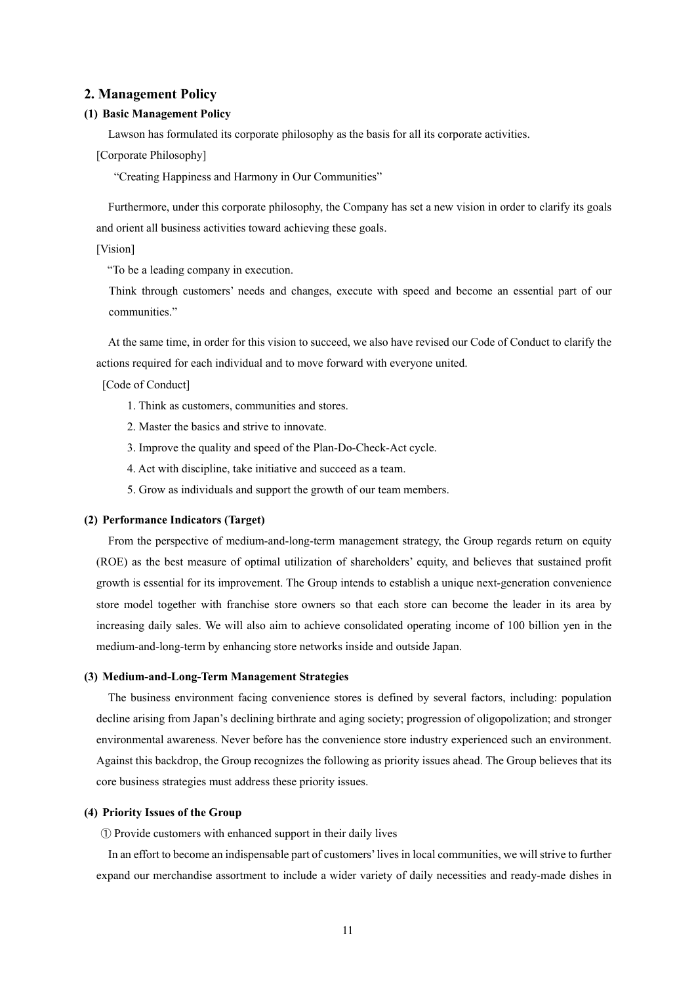#### **2. Management Policy**

#### **(1) Basic Management Policy**

Lawson has formulated its corporate philosophy as the basis for all its corporate activities.

[Corporate Philosophy]

"Creating Happiness and Harmony in Our Communities"

Furthermore, under this corporate philosophy, the Company has set a new vision in order to clarify its goals and orient all business activities toward achieving these goals.

[Vision]

"To be a leading company in execution.

Think through customers' needs and changes, execute with speed and become an essential part of our communities."

At the same time, in order for this vision to succeed, we also have revised our Code of Conduct to clarify the actions required for each individual and to move forward with everyone united.

[Code of Conduct]

- 1. Think as customers, communities and stores.
- 2. Master the basics and strive to innovate.
- 3. Improve the quality and speed of the Plan-Do-Check-Act cycle.
- 4. Act with discipline, take initiative and succeed as a team.
- 5. Grow as individuals and support the growth of our team members.

#### **(2) Performance Indicators (Target)**

From the perspective of medium-and-long-term management strategy, the Group regards return on equity (ROE) as the best measure of optimal utilization of shareholders' equity, and believes that sustained profit growth is essential for its improvement. The Group intends to establish a unique next-generation convenience store model together with franchise store owners so that each store can become the leader in its area by increasing daily sales. We will also aim to achieve consolidated operating income of 100 billion yen in the medium-and-long-term by enhancing store networks inside and outside Japan.

#### **(3) Medium-and-Long-Term Management Strategies**

The business environment facing convenience stores is defined by several factors, including: population decline arising from Japan's declining birthrate and aging society; progression of oligopolization; and stronger environmental awareness. Never before has the convenience store industry experienced such an environment. Against this backdrop, the Group recognizes the following as priority issues ahead. The Group believes that its core business strategies must address these priority issues.

#### **(4) Priority Issues of the Group**

① Provide customers with enhanced support in their daily lives

In an effort to become an indispensable part of customers' lives in local communities, we will strive to further expand our merchandise assortment to include a wider variety of daily necessities and ready-made dishes in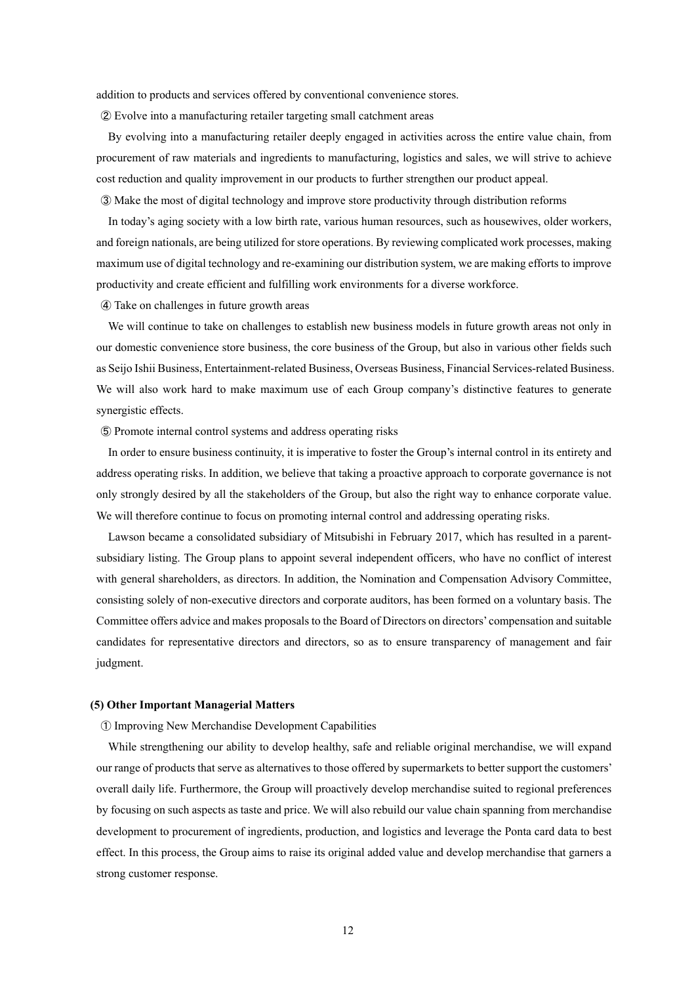addition to products and services offered by conventional convenience stores.

② Evolve into a manufacturing retailer targeting small catchment areas

By evolving into a manufacturing retailer deeply engaged in activities across the entire value chain, from procurement of raw materials and ingredients to manufacturing, logistics and sales, we will strive to achieve cost reduction and quality improvement in our products to further strengthen our product appeal.

③ Make the most of digital technology and improve store productivity through distribution reforms

In today's aging society with a low birth rate, various human resources, such as housewives, older workers, and foreign nationals, are being utilized for store operations. By reviewing complicated work processes, making maximum use of digital technology and re-examining our distribution system, we are making efforts to improve productivity and create efficient and fulfilling work environments for a diverse workforce.

④ Take on challenges in future growth areas

We will continue to take on challenges to establish new business models in future growth areas not only in our domestic convenience store business, the core business of the Group, but also in various other fields such as Seijo Ishii Business, Entertainment-related Business, Overseas Business, Financial Services-related Business. We will also work hard to make maximum use of each Group company's distinctive features to generate synergistic effects.

⑤ Promote internal control systems and address operating risks

In order to ensure business continuity, it is imperative to foster the Group's internal control in its entirety and address operating risks. In addition, we believe that taking a proactive approach to corporate governance is not only strongly desired by all the stakeholders of the Group, but also the right way to enhance corporate value. We will therefore continue to focus on promoting internal control and addressing operating risks.

Lawson became a consolidated subsidiary of Mitsubishi in February 2017, which has resulted in a parentsubsidiary listing. The Group plans to appoint several independent officers, who have no conflict of interest with general shareholders, as directors. In addition, the Nomination and Compensation Advisory Committee, consisting solely of non-executive directors and corporate auditors, has been formed on a voluntary basis. The Committee offers advice and makes proposals to the Board of Directors on directors' compensation and suitable candidates for representative directors and directors, so as to ensure transparency of management and fair judgment.

#### **(5) Other Important Managerial Matters**

① Improving New Merchandise Development Capabilities

While strengthening our ability to develop healthy, safe and reliable original merchandise, we will expand our range of products that serve as alternatives to those offered by supermarkets to better support the customers' overall daily life. Furthermore, the Group will proactively develop merchandise suited to regional preferences by focusing on such aspects as taste and price. We will also rebuild our value chain spanning from merchandise development to procurement of ingredients, production, and logistics and leverage the Ponta card data to best effect. In this process, the Group aims to raise its original added value and develop merchandise that garners a strong customer response.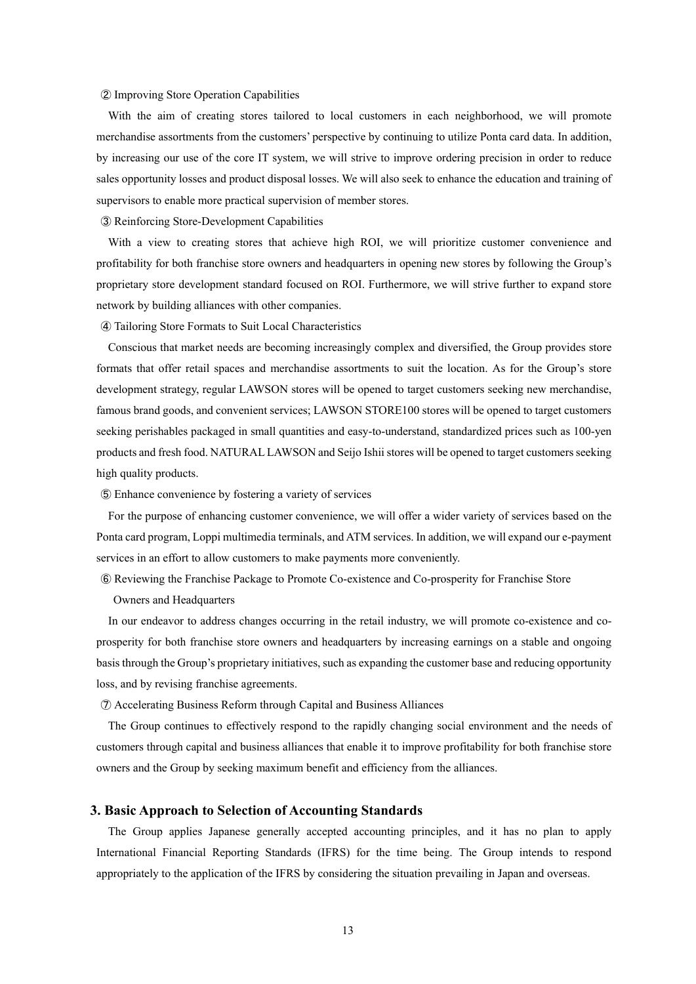#### ② Improving Store Operation Capabilities

With the aim of creating stores tailored to local customers in each neighborhood, we will promote merchandise assortments from the customers' perspective by continuing to utilize Ponta card data. In addition, by increasing our use of the core IT system, we will strive to improve ordering precision in order to reduce sales opportunity losses and product disposal losses. We will also seek to enhance the education and training of supervisors to enable more practical supervision of member stores.

③ Reinforcing Store-Development Capabilities

With a view to creating stores that achieve high ROI, we will prioritize customer convenience and profitability for both franchise store owners and headquarters in opening new stores by following the Group's proprietary store development standard focused on ROI. Furthermore, we will strive further to expand store network by building alliances with other companies.

④ Tailoring Store Formats to Suit Local Characteristics

Conscious that market needs are becoming increasingly complex and diversified, the Group provides store formats that offer retail spaces and merchandise assortments to suit the location. As for the Group's store development strategy, regular LAWSON stores will be opened to target customers seeking new merchandise, famous brand goods, and convenient services; LAWSON STORE100 stores will be opened to target customers seeking perishables packaged in small quantities and easy-to-understand, standardized prices such as 100-yen products and fresh food. NATURAL LAWSON and Seijo Ishii stores will be opened to target customers seeking high quality products.

⑤ Enhance convenience by fostering a variety of services

For the purpose of enhancing customer convenience, we will offer a wider variety of services based on the Ponta card program, Loppi multimedia terminals, and ATM services. In addition, we will expand our e-payment services in an effort to allow customers to make payments more conveniently.

- ⑥ Reviewing the Franchise Package to Promote Co-existence and Co-prosperity for Franchise Store
	- Owners and Headquarters

In our endeavor to address changes occurring in the retail industry, we will promote co-existence and coprosperity for both franchise store owners and headquarters by increasing earnings on a stable and ongoing basis through the Group's proprietary initiatives, such as expanding the customer base and reducing opportunity loss, and by revising franchise agreements.

⑦ Accelerating Business Reform through Capital and Business Alliances

The Group continues to effectively respond to the rapidly changing social environment and the needs of customers through capital and business alliances that enable it to improve profitability for both franchise store owners and the Group by seeking maximum benefit and efficiency from the alliances.

# **3. Basic Approach to Selection of Accounting Standards**

The Group applies Japanese generally accepted accounting principles, and it has no plan to apply International Financial Reporting Standards (IFRS) for the time being. The Group intends to respond appropriately to the application of the IFRS by considering the situation prevailing in Japan and overseas.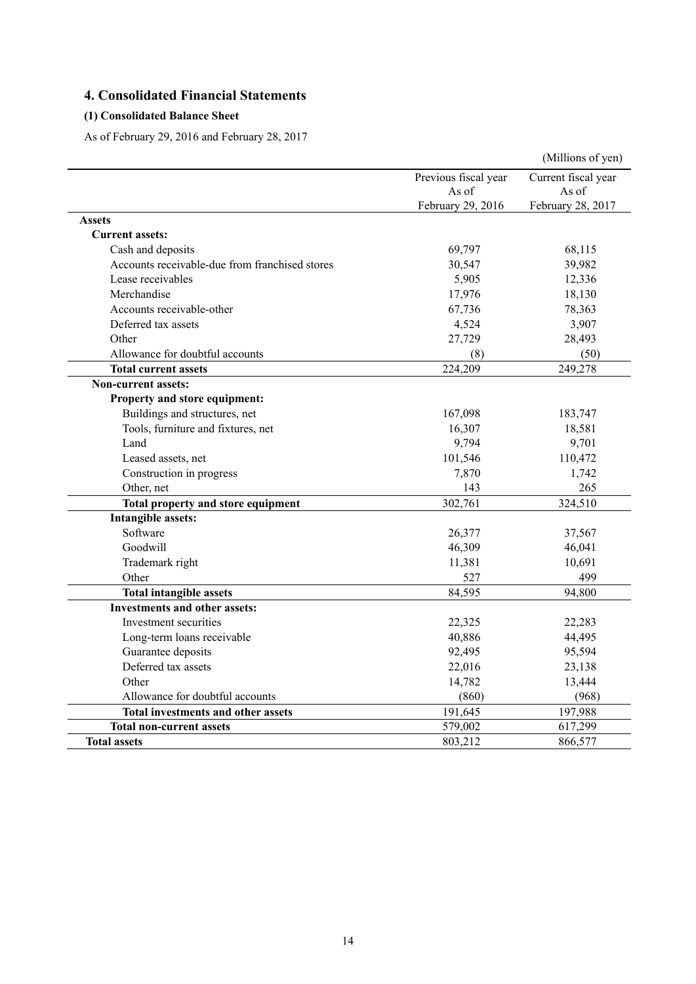# **4. Consolidated Financial Statements**

# **(1) Consolidated Balance Sheet**

As of February 29, 2016 and February 28, 2017

|                                                |                      | (Millions of yen)   |
|------------------------------------------------|----------------------|---------------------|
|                                                | Previous fiscal year | Current fiscal year |
|                                                | As of                | As of               |
|                                                | February 29, 2016    | February 28, 2017   |
| <b>Assets</b>                                  |                      |                     |
| <b>Current assets:</b>                         |                      |                     |
| Cash and deposits                              | 69,797               | 68,115              |
| Accounts receivable-due from franchised stores | 30,547               | 39,982              |
| Lease receivables                              | 5,905                | 12,336              |
| Merchandise                                    | 17,976               | 18,130              |
| Accounts receivable-other                      | 67,736               | 78,363              |
| Deferred tax assets                            | 4,524                | 3,907               |
| Other                                          | 27,729               | 28,493              |
| Allowance for doubtful accounts                | (8)                  | (50)                |
| <b>Total current assets</b>                    | 224,209              | 249,278             |
| <b>Non-current assets:</b>                     |                      |                     |
| Property and store equipment:                  |                      |                     |
| Buildings and structures, net                  | 167,098              | 183,747             |
| Tools, furniture and fixtures, net             | 16,307               | 18,581              |
| Land                                           | 9,794                | 9,701               |
| Leased assets, net                             | 101,546              | 110,472             |
| Construction in progress                       | 7,870                | 1,742               |
| Other, net                                     | 143                  | 265                 |
| Total property and store equipment             | 302,761              | 324,510             |
| Intangible assets:                             |                      |                     |
| Software                                       | 26,377               | 37,567              |
| Goodwill                                       | 46,309               | 46,041              |
| Trademark right                                | 11,381               | 10,691              |
| Other                                          | 527                  | 499                 |
| <b>Total intangible assets</b>                 | 84,595               | 94,800              |
| <b>Investments and other assets:</b>           |                      |                     |
| Investment securities                          | 22,325               | 22,283              |
| Long-term loans receivable                     | 40,886               | 44,495              |
| Guarantee deposits                             | 92,495               | 95,594              |
| Deferred tax assets                            | 22,016               | 23,138              |
| Other                                          | 14,782               | 13,444              |
| Allowance for doubtful accounts                | (860)                | (968)               |
| <b>Total investments and other assets</b>      | 191,645              | 197,988             |
| <b>Total non-current assets</b>                | 579,002              | 617,299             |
| <b>Total assets</b>                            | 803,212              | 866,577             |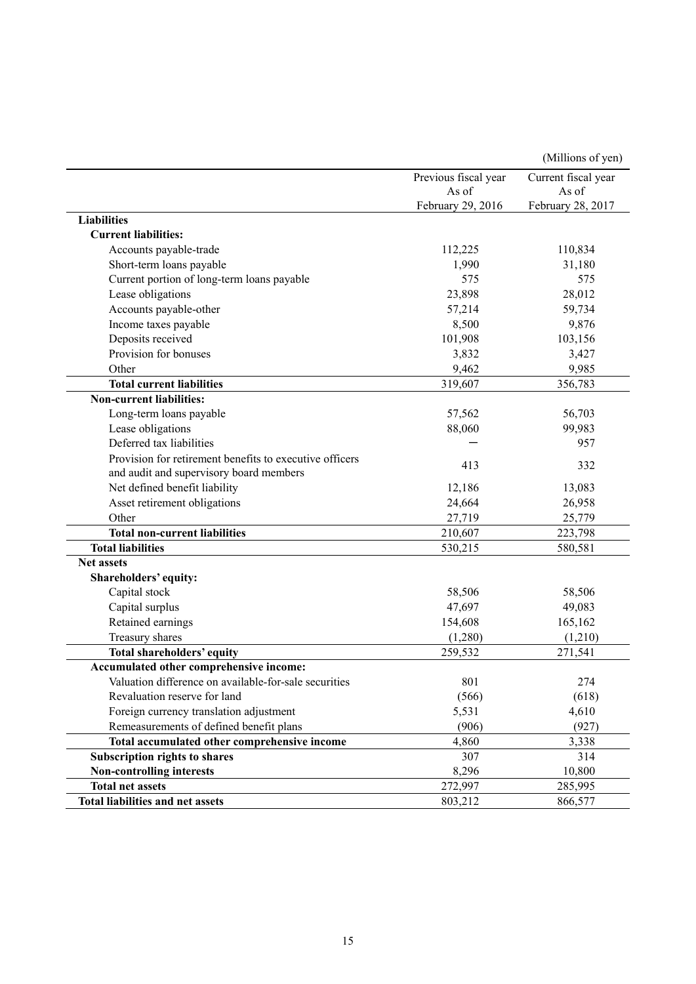|                                                         |                      | (Millions of yen)   |
|---------------------------------------------------------|----------------------|---------------------|
|                                                         | Previous fiscal year | Current fiscal year |
|                                                         | As of                | As of               |
|                                                         | February 29, 2016    | February 28, 2017   |
| <b>Liabilities</b>                                      |                      |                     |
| <b>Current liabilities:</b>                             |                      |                     |
| Accounts payable-trade                                  | 112,225              | 110,834             |
| Short-term loans payable                                | 1,990                | 31,180              |
| Current portion of long-term loans payable              | 575                  | 575                 |
| Lease obligations                                       | 23,898               | 28,012              |
| Accounts payable-other                                  | 57,214               | 59,734              |
| Income taxes payable                                    | 8,500                | 9,876               |
| Deposits received                                       | 101,908              | 103,156             |
| Provision for bonuses                                   | 3,832                | 3,427               |
| Other                                                   | 9,462                | 9,985               |
| <b>Total current liabilities</b>                        | 319,607              | 356,783             |
| <b>Non-current liabilities:</b>                         |                      |                     |
| Long-term loans payable                                 | 57,562               | 56,703              |
| Lease obligations                                       | 88,060               | 99,983              |
| Deferred tax liabilities                                |                      | 957                 |
| Provision for retirement benefits to executive officers |                      |                     |
| and audit and supervisory board members                 | 413                  | 332                 |
| Net defined benefit liability                           | 12,186               | 13,083              |
| Asset retirement obligations                            | 24,664               | 26,958              |
| Other                                                   | 27,719               | 25,779              |
| <b>Total non-current liabilities</b>                    | 210,607              | 223,798             |
| <b>Total liabilities</b>                                | 530,215              | 580,581             |
| <b>Net assets</b>                                       |                      |                     |
| Shareholders' equity:                                   |                      |                     |
| Capital stock                                           | 58,506               | 58,506              |
| Capital surplus                                         | 47,697               | 49,083              |
| Retained earnings                                       | 154,608              | 165,162             |
| Treasury shares                                         | (1,280)              | (1,210)             |
| Total shareholders' equity                              | 259,532              | 271,541             |
| Accumulated other comprehensive income:                 |                      |                     |
| Valuation difference on available-for-sale securities   | 801                  | 274                 |
| Revaluation reserve for land                            | (566)                | (618)               |
| Foreign currency translation adjustment                 | 5,531                | 4,610               |
| Remeasurements of defined benefit plans                 | (906)                | (927)               |
| Total accumulated other comprehensive income            | 4,860                | 3,338               |
| <b>Subscription rights to shares</b>                    | 307                  | 314                 |
| Non-controlling interests                               | 8,296                | 10,800              |
| <b>Total net assets</b>                                 | 272,997              | 285,995             |
| <b>Total liabilities and net assets</b>                 | 803,212              | 866,577             |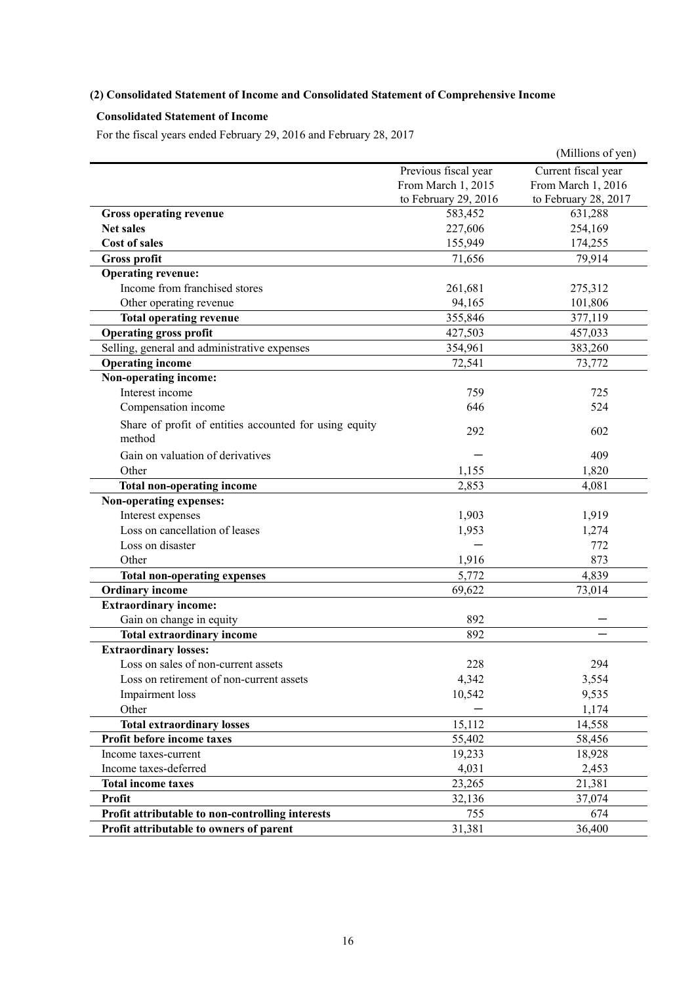# **(2) Consolidated Statement of Income and Consolidated Statement of Comprehensive Income**

# **Consolidated Statement of Income**

For the fiscal years ended February 29, 2016 and February 28, 2017

|                                                        |                      | (Millions of yen)    |
|--------------------------------------------------------|----------------------|----------------------|
|                                                        | Previous fiscal year | Current fiscal year  |
|                                                        | From March 1, 2015   | From March 1, 2016   |
|                                                        | to February 29, 2016 | to February 28, 2017 |
| <b>Gross operating revenue</b>                         | 583,452              | 631,288              |
| <b>Net sales</b>                                       | 227,606              | 254,169              |
| <b>Cost of sales</b>                                   | 155,949              | 174,255              |
| <b>Gross profit</b>                                    | 71,656               | 79,914               |
| <b>Operating revenue:</b>                              |                      |                      |
| Income from franchised stores                          | 261,681              | 275,312              |
| Other operating revenue                                | 94,165               | 101,806              |
| <b>Total operating revenue</b>                         | 355,846              | 377,119              |
| <b>Operating gross profit</b>                          | 427,503              | 457,033              |
| Selling, general and administrative expenses           | 354,961              | 383,260              |
| <b>Operating income</b>                                | 72,541               | 73,772               |
| Non-operating income:                                  |                      |                      |
| Interest income                                        | 759                  | 725                  |
| Compensation income                                    | 646                  | 524                  |
| Share of profit of entities accounted for using equity |                      |                      |
| method                                                 | 292                  | 602                  |
| Gain on valuation of derivatives                       |                      | 409                  |
| Other                                                  | 1,155                | 1,820                |
| <b>Total non-operating income</b>                      | 2,853                | 4,081                |
| Non-operating expenses:                                |                      |                      |
| Interest expenses                                      | 1,903                | 1,919                |
| Loss on cancellation of leases                         | 1,953                | 1,274                |
| Loss on disaster                                       |                      | 772                  |
| Other                                                  | 1,916                | 873                  |
| <b>Total non-operating expenses</b>                    | 5,772                | 4,839                |
| <b>Ordinary income</b>                                 | 69,622               | 73,014               |
| <b>Extraordinary income:</b>                           |                      |                      |
| Gain on change in equity                               | 892                  |                      |
| <b>Total extraordinary income</b>                      | 892                  |                      |
| <b>Extraordinary losses:</b>                           |                      |                      |
| Loss on sales of non-current assets                    | 228                  | 294                  |
| Loss on retirement of non-current assets               | 4,342                | 3,554                |
| Impairment loss                                        | 10,542               | 9,535                |
| Other                                                  |                      | 1,174                |
| <b>Total extraordinary losses</b>                      | 15,112               | 14,558               |
| Profit before income taxes                             | 55,402               | 58,456               |
| Income taxes-current                                   | 19,233               | 18,928               |
| Income taxes-deferred                                  | 4,031                | 2,453                |
| <b>Total income taxes</b>                              | 23,265               | 21,381               |
| <b>Profit</b>                                          | 32,136               | 37,074               |
| Profit attributable to non-controlling interests       | 755                  | 674                  |
| Profit attributable to owners of parent                | 31,381               | 36,400               |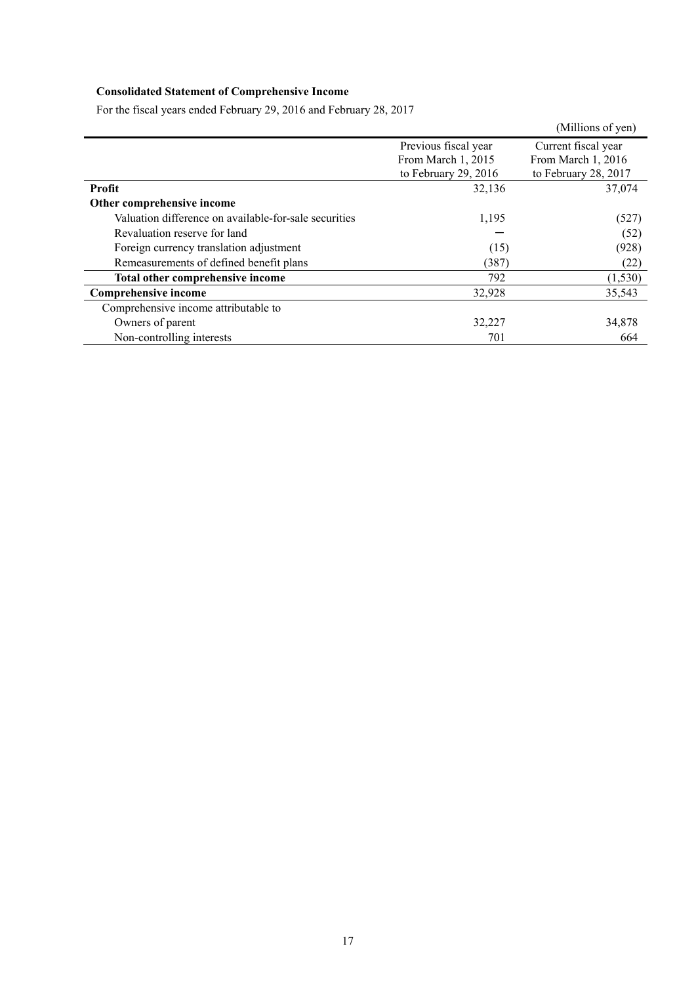# **Consolidated Statement of Comprehensive Income**

|                                                       |                      | (Millions of yen)    |
|-------------------------------------------------------|----------------------|----------------------|
|                                                       | Previous fiscal year | Current fiscal year  |
|                                                       | From March 1, 2015   | From March 1, 2016   |
|                                                       | to February 29, 2016 | to February 28, 2017 |
| Profit                                                | 32,136               | 37,074               |
| Other comprehensive income                            |                      |                      |
| Valuation difference on available-for-sale securities | 1,195                | (527)                |
| Revaluation reserve for land                          |                      | (52)                 |
| Foreign currency translation adjustment               | (15)                 | (928)                |
| Remeasurements of defined benefit plans               | (387)                | (22)                 |
| Total other comprehensive income                      | 792                  | (1, 530)             |
| <b>Comprehensive income</b>                           | 32,928               | 35,543               |
| Comprehensive income attributable to                  |                      |                      |
| Owners of parent                                      | 32,227               | 34,878               |
| Non-controlling interests                             | 701                  | 664                  |

For the fiscal years ended February 29, 2016 and February 28, 2017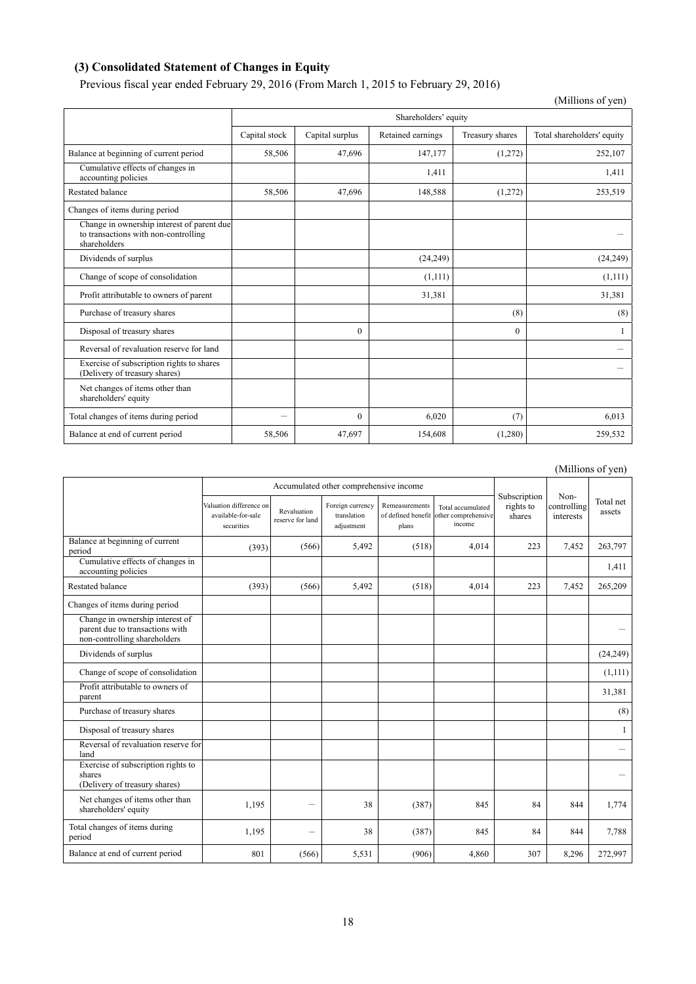# **(3) Consolidated Statement of Changes in Equity**

Previous fiscal year ended February 29, 2016 (From March 1, 2015 to February 29, 2016)

|                                                                                                    |               |                 |                      |                 | (Millions of yen)          |
|----------------------------------------------------------------------------------------------------|---------------|-----------------|----------------------|-----------------|----------------------------|
|                                                                                                    |               |                 | Shareholders' equity |                 |                            |
|                                                                                                    | Capital stock | Capital surplus | Retained earnings    | Treasury shares | Total shareholders' equity |
| Balance at beginning of current period                                                             | 58,506        | 47,696          | 147,177              | (1,272)         | 252,107                    |
| Cumulative effects of changes in<br>accounting policies                                            |               |                 | 1,411                |                 | 1,411                      |
| <b>Restated balance</b>                                                                            | 58,506        | 47,696          | 148,588              | (1,272)         | 253,519                    |
| Changes of items during period                                                                     |               |                 |                      |                 |                            |
| Change in ownership interest of parent due<br>to transactions with non-controlling<br>shareholders |               |                 |                      |                 |                            |
| Dividends of surplus                                                                               |               |                 | (24, 249)            |                 | (24, 249)                  |
| Change of scope of consolidation                                                                   |               |                 | (1,111)              |                 | (1,111)                    |
| Profit attributable to owners of parent                                                            |               |                 | 31,381               |                 | 31,381                     |
| Purchase of treasury shares                                                                        |               |                 |                      | (8)             | (8)                        |
| Disposal of treasury shares                                                                        |               | $\Omega$        |                      | $\theta$        |                            |
| Reversal of revaluation reserve for land                                                           |               |                 |                      |                 |                            |
| Exercise of subscription rights to shares<br>(Delivery of treasury shares)                         |               |                 |                      |                 |                            |
| Net changes of items other than<br>shareholders' equity                                            |               |                 |                      |                 |                            |
| Total changes of items during period                                                               | -             | $\Omega$        | 6,020                | (7)             | 6,013                      |
| Balance at end of current period                                                                   | 58,506        | 47,697          | 154,608              | (1,280)         | 259,532                    |

(Millions of yen)

|                                                                                                    |                                                             |                                 |                                               |                                               |                                                    |                                     |                                  | (TATHIOHS OF ACH)   |
|----------------------------------------------------------------------------------------------------|-------------------------------------------------------------|---------------------------------|-----------------------------------------------|-----------------------------------------------|----------------------------------------------------|-------------------------------------|----------------------------------|---------------------|
|                                                                                                    | Accumulated other comprehensive income                      |                                 |                                               |                                               |                                                    |                                     |                                  |                     |
|                                                                                                    | Valuation difference on<br>available-for-sale<br>securities | Revaluation<br>reserve for land | Foreign currency<br>translation<br>adjustment | Remeasurements<br>of defined benefit<br>plans | Total accumulated<br>other comprehensive<br>income | Subscription<br>rights to<br>shares | Non-<br>controlling<br>interests | Total net<br>assets |
| Balance at beginning of current<br>period                                                          | (393)                                                       | (566)                           | 5,492                                         | (518)                                         | 4,014                                              | 223                                 | 7,452                            | 263,797             |
| Cumulative effects of changes in<br>accounting policies                                            |                                                             |                                 |                                               |                                               |                                                    |                                     |                                  | 1,411               |
| Restated balance                                                                                   | (393)                                                       | (566)                           | 5,492                                         | (518)                                         | 4,014                                              | 223                                 | 7,452                            | 265,209             |
| Changes of items during period                                                                     |                                                             |                                 |                                               |                                               |                                                    |                                     |                                  |                     |
| Change in ownership interest of<br>parent due to transactions with<br>non-controlling shareholders |                                                             |                                 |                                               |                                               |                                                    |                                     |                                  |                     |
| Dividends of surplus                                                                               |                                                             |                                 |                                               |                                               |                                                    |                                     |                                  | (24, 249)           |
| Change of scope of consolidation                                                                   |                                                             |                                 |                                               |                                               |                                                    |                                     |                                  | (1,111)             |
| Profit attributable to owners of<br>parent                                                         |                                                             |                                 |                                               |                                               |                                                    |                                     |                                  | 31,381              |
| Purchase of treasury shares                                                                        |                                                             |                                 |                                               |                                               |                                                    |                                     |                                  | (8)                 |
| Disposal of treasury shares                                                                        |                                                             |                                 |                                               |                                               |                                                    |                                     |                                  | 1                   |
| Reversal of revaluation reserve for<br>land                                                        |                                                             |                                 |                                               |                                               |                                                    |                                     |                                  |                     |
| Exercise of subscription rights to<br>shares<br>(Delivery of treasury shares)                      |                                                             |                                 |                                               |                                               |                                                    |                                     |                                  | -                   |
| Net changes of items other than<br>shareholders' equity                                            | 1,195                                                       | -                               | 38                                            | (387)                                         | 845                                                | 84                                  | 844                              | 1,774               |
| Total changes of items during<br>period                                                            | 1,195                                                       | $\overline{\phantom{0}}$        | 38                                            | (387)                                         | 845                                                | 84                                  | 844                              | 7,788               |
| Balance at end of current period                                                                   | 801                                                         | (566)                           | 5,531                                         | (906)                                         | 4,860                                              | 307                                 | 8,296                            | 272,997             |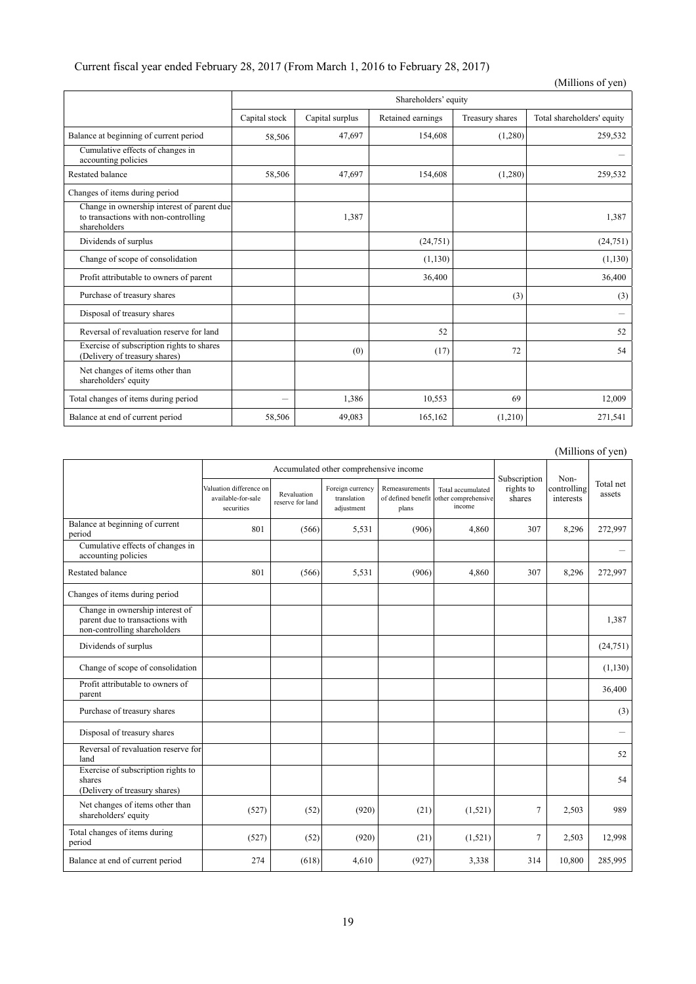| Current fiscal year ended February 28, 2017 (From March 1, 2016 to February 28, 2017) |  |  |
|---------------------------------------------------------------------------------------|--|--|
|---------------------------------------------------------------------------------------|--|--|

|                                                                                                    |               |                 |                      |                 | (Millions of yen)          |
|----------------------------------------------------------------------------------------------------|---------------|-----------------|----------------------|-----------------|----------------------------|
|                                                                                                    |               |                 | Shareholders' equity |                 |                            |
|                                                                                                    | Capital stock | Capital surplus | Retained earnings    | Treasury shares | Total shareholders' equity |
| Balance at beginning of current period                                                             | 58,506        | 47,697          | 154,608              | (1,280)         | 259,532                    |
| Cumulative effects of changes in<br>accounting policies                                            |               |                 |                      |                 |                            |
| Restated balance                                                                                   | 58,506        | 47,697          | 154,608              | (1,280)         | 259,532                    |
| Changes of items during period                                                                     |               |                 |                      |                 |                            |
| Change in ownership interest of parent due<br>to transactions with non-controlling<br>shareholders |               | 1,387           |                      |                 | 1,387                      |
| Dividends of surplus                                                                               |               |                 | (24,751)             |                 | (24, 751)                  |
| Change of scope of consolidation                                                                   |               |                 | (1,130)              |                 | (1,130)                    |
| Profit attributable to owners of parent                                                            |               |                 | 36,400               |                 | 36,400                     |
| Purchase of treasury shares                                                                        |               |                 |                      | (3)             | (3)                        |
| Disposal of treasury shares                                                                        |               |                 |                      |                 | -                          |
| Reversal of revaluation reserve for land                                                           |               |                 | 52                   |                 | 52                         |
| Exercise of subscription rights to shares<br>(Delivery of treasury shares)                         |               | (0)             | (17)                 | 72              | 54                         |
| Net changes of items other than<br>shareholders' equity                                            |               |                 |                      |                 |                            |
| Total changes of items during period                                                               | —             | 1,386           | 10,553               | 69              | 12,009                     |
| Balance at end of current period                                                                   | 58,506        | 49.083          | 165,162              | (1,210)         | 271,541                    |

(Millions of yen)

|                                                                                                    |                                                             |                                 | Accumulated other comprehensive income        |                                               |                                                    |                                     |                                  |                     |
|----------------------------------------------------------------------------------------------------|-------------------------------------------------------------|---------------------------------|-----------------------------------------------|-----------------------------------------------|----------------------------------------------------|-------------------------------------|----------------------------------|---------------------|
|                                                                                                    | Valuation difference on<br>available-for-sale<br>securities | Revaluation<br>reserve for land | Foreign currency<br>translation<br>adjustment | Remeasurements<br>of defined benefit<br>plans | Total accumulated<br>other comprehensive<br>income | Subscription<br>rights to<br>shares | Non-<br>controlling<br>interests | Total net<br>assets |
| Balance at beginning of current<br>period                                                          | 801                                                         | (566)                           | 5,531                                         | (906)                                         | 4,860                                              | 307                                 | 8,296                            | 272,997             |
| Cumulative effects of changes in<br>accounting policies                                            |                                                             |                                 |                                               |                                               |                                                    |                                     |                                  |                     |
| Restated balance                                                                                   | 801                                                         | (566)                           | 5,531                                         | (906)                                         | 4,860                                              | 307                                 | 8,296                            | 272,997             |
| Changes of items during period                                                                     |                                                             |                                 |                                               |                                               |                                                    |                                     |                                  |                     |
| Change in ownership interest of<br>parent due to transactions with<br>non-controlling shareholders |                                                             |                                 |                                               |                                               |                                                    |                                     |                                  | 1,387               |
| Dividends of surplus                                                                               |                                                             |                                 |                                               |                                               |                                                    |                                     |                                  | (24, 751)           |
| Change of scope of consolidation                                                                   |                                                             |                                 |                                               |                                               |                                                    |                                     |                                  | (1,130)             |
| Profit attributable to owners of<br>parent                                                         |                                                             |                                 |                                               |                                               |                                                    |                                     |                                  | 36,400              |
| Purchase of treasury shares                                                                        |                                                             |                                 |                                               |                                               |                                                    |                                     |                                  | (3)                 |
| Disposal of treasury shares                                                                        |                                                             |                                 |                                               |                                               |                                                    |                                     |                                  |                     |
| Reversal of revaluation reserve for<br>land                                                        |                                                             |                                 |                                               |                                               |                                                    |                                     |                                  | 52                  |
| Exercise of subscription rights to<br>shares<br>(Delivery of treasury shares)                      |                                                             |                                 |                                               |                                               |                                                    |                                     |                                  | 54                  |
| Net changes of items other than<br>shareholders' equity                                            | (527)                                                       | (52)                            | (920)                                         | (21)                                          | (1,521)                                            | $\overline{7}$                      | 2,503                            | 989                 |
| Total changes of items during<br>period                                                            | (527)                                                       | (52)                            | (920)                                         | (21)                                          | (1,521)                                            | $\overline{7}$                      | 2,503                            | 12,998              |
| Balance at end of current period                                                                   | 274                                                         | (618)                           | 4,610                                         | (927)                                         | 3,338                                              | 314                                 | 10,800                           | 285,995             |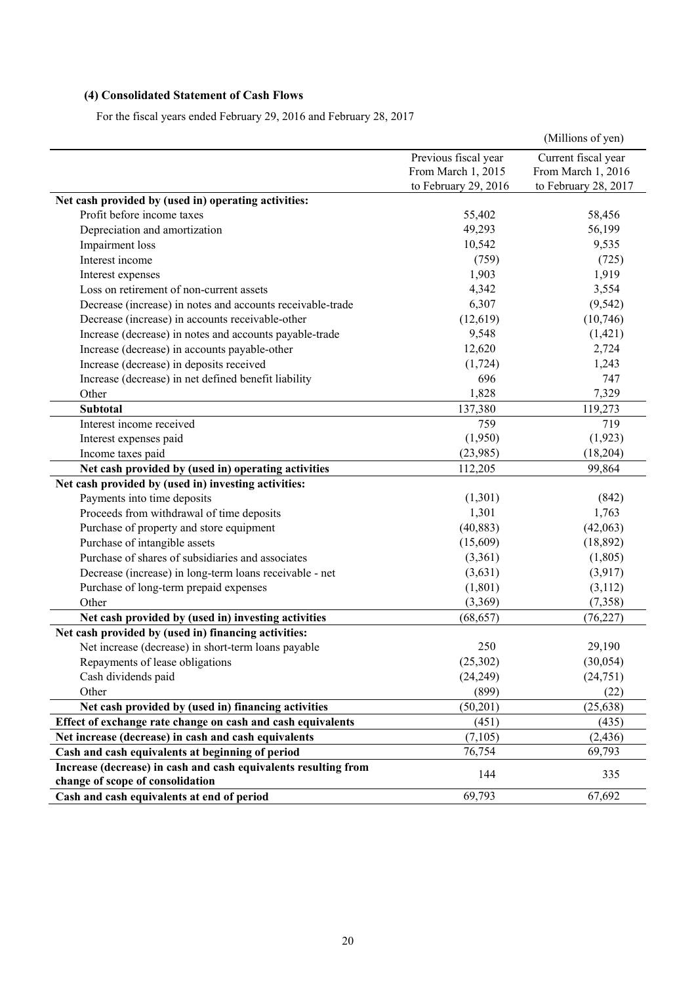# **(4) Consolidated Statement of Cash Flows**

For the fiscal years ended February 29, 2016 and February 28, 2017

|                                                                 |                      | (Millions of yen)    |
|-----------------------------------------------------------------|----------------------|----------------------|
|                                                                 | Previous fiscal year | Current fiscal year  |
|                                                                 | From March 1, 2015   | From March 1, 2016   |
|                                                                 | to February 29, 2016 | to February 28, 2017 |
| Net cash provided by (used in) operating activities:            |                      |                      |
| Profit before income taxes                                      | 55,402               | 58,456               |
| Depreciation and amortization                                   | 49,293               | 56,199               |
| Impairment loss                                                 | 10,542               | 9,535                |
| Interest income                                                 | (759)                | (725)                |
| Interest expenses                                               | 1,903                | 1,919                |
| Loss on retirement of non-current assets                        | 4,342                | 3,554                |
| Decrease (increase) in notes and accounts receivable-trade      | 6,307                | (9, 542)             |
| Decrease (increase) in accounts receivable-other                | (12, 619)            | (10,746)             |
| Increase (decrease) in notes and accounts payable-trade         | 9,548                | (1, 421)             |
| Increase (decrease) in accounts payable-other                   | 12,620               | 2,724                |
| Increase (decrease) in deposits received                        | (1, 724)             | 1,243                |
| Increase (decrease) in net defined benefit liability            | 696                  | 747                  |
| Other                                                           | 1,828                | 7,329                |
| <b>Subtotal</b>                                                 | 137,380              | 119,273              |
| Interest income received                                        | 759                  | 719                  |
| Interest expenses paid                                          | (1,950)              | (1,923)              |
| Income taxes paid                                               | (23,985)             | (18, 204)            |
| Net cash provided by (used in) operating activities             | 112,205              | 99,864               |
| Net cash provided by (used in) investing activities:            |                      |                      |
| Payments into time deposits                                     | (1,301)              | (842)                |
| Proceeds from withdrawal of time deposits                       | 1,301                | 1,763                |
| Purchase of property and store equipment                        | (40, 883)            | (42,063)             |
| Purchase of intangible assets                                   | (15,609)             | (18, 892)            |
| Purchase of shares of subsidiaries and associates               | (3,361)              | (1,805)              |
| Decrease (increase) in long-term loans receivable - net         | (3,631)              | (3,917)              |
| Purchase of long-term prepaid expenses                          | (1,801)              | (3,112)              |
| Other                                                           | (3,369)              | (7,358)              |
| Net cash provided by (used in) investing activities             | (68, 657)            | (76, 227)            |
| Net cash provided by (used in) financing activities:            |                      |                      |
| Net increase (decrease) in short-term loans payable             | 250                  | 29,190               |
| Repayments of lease obligations                                 | (25, 302)            | (30, 054)            |
| Cash dividends paid                                             | (24, 249)            | (24, 751)            |
| Other                                                           | (899)                | (22)                 |
| Net cash provided by (used in) financing activities             | (50, 201)            | (25, 638)            |
| Effect of exchange rate change on cash and cash equivalents     | (451)                | (435)                |
| Net increase (decrease) in cash and cash equivalents            | (7,105)              | (2, 436)             |
| Cash and cash equivalents at beginning of period                | 76,754               | 69,793               |
| Increase (decrease) in cash and cash equivalents resulting from |                      |                      |
| change of scope of consolidation                                | 144                  | 335                  |
| Cash and cash equivalents at end of period                      | 69,793               | 67,692               |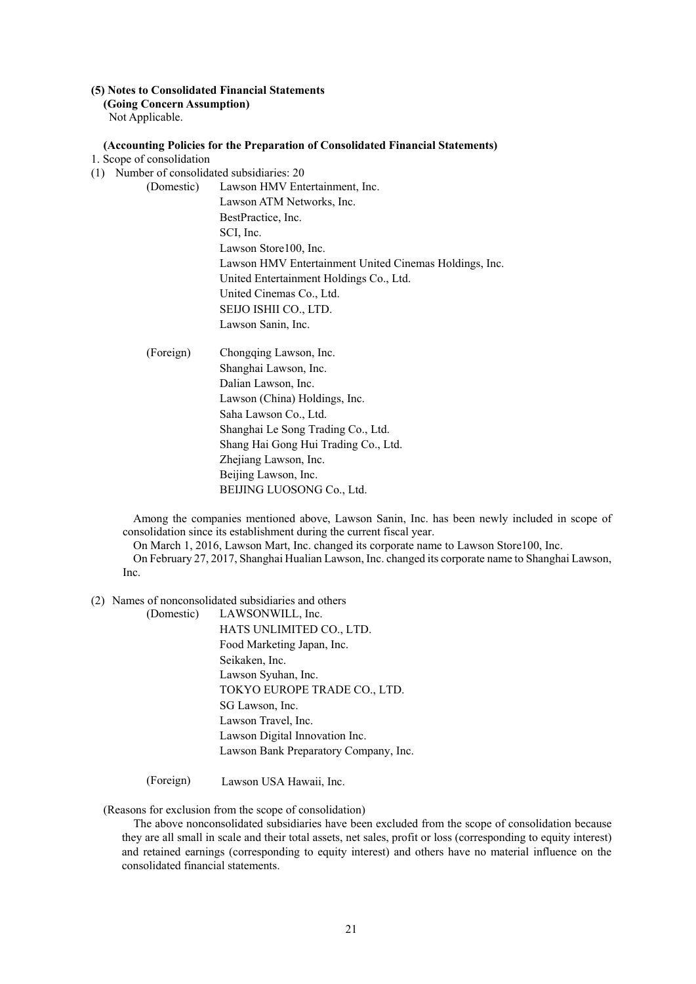# **(5) Notes to Consolidated Financial Statements**

**(Going Concern Assumption)** 

Not Applicable.

#### **(Accounting Policies for the Preparation of Consolidated Financial Statements)**

- 1. Scope of consolidation
- (1) Number of consolidated subsidiaries: 20
	- (Domestic) Lawson HMV Entertainment, Inc. Lawson ATM Networks, Inc. BestPractice, Inc. SCI, Inc. Lawson Store100, Inc. Lawson HMV Entertainment United Cinemas Holdings, Inc. United Entertainment Holdings Co., Ltd. United Cinemas Co., Ltd. SEIJO ISHII CO., LTD. Lawson Sanin, Inc.
	- (Foreign) Chongqing Lawson, Inc. Shanghai Lawson, Inc. Dalian Lawson, Inc. Lawson (China) Holdings, Inc. Saha Lawson Co., Ltd. Shanghai Le Song Trading Co., Ltd. Shang Hai Gong Hui Trading Co., Ltd. Zhejiang Lawson, Inc. Beijing Lawson, Inc. BEIJING LUOSONG Co., Ltd.

Among the companies mentioned above, Lawson Sanin, Inc. has been newly included in scope of consolidation since its establishment during the current fiscal year.

On March 1, 2016, Lawson Mart, Inc. changed its corporate name to Lawson Store100, Inc. On February 27, 2017, Shanghai Hualian Lawson, Inc. changed its corporate name to Shanghai Lawson, Inc.

- (2) Names of nonconsolidated subsidiaries and others
	- (Domestic) LAWSONWILL, Inc. HATS UNLIMITED CO., LTD. Food Marketing Japan, Inc. Seikaken, Inc. Lawson Syuhan, Inc. TOKYO EUROPE TRADE CO., LTD. SG Lawson, Inc. Lawson Travel, Inc. Lawson Digital Innovation Inc. Lawson Bank Preparatory Company, Inc.
	- (Foreign) Lawson USA Hawaii, Inc.

#### (Reasons for exclusion from the scope of consolidation)

The above nonconsolidated subsidiaries have been excluded from the scope of consolidation because they are all small in scale and their total assets, net sales, profit or loss (corresponding to equity interest) and retained earnings (corresponding to equity interest) and others have no material influence on the consolidated financial statements.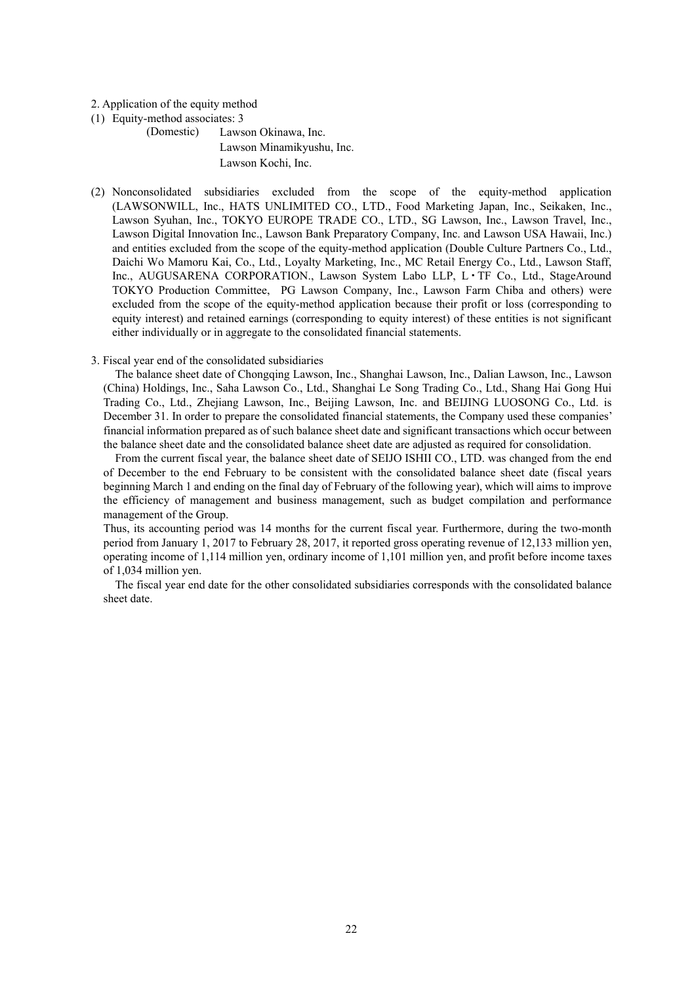#### 2. Application of the equity method

(1) Equity-method associates: 3

(Domestic) Lawson Okinawa, Inc. Lawson Minamikyushu, Inc. Lawson Kochi, Inc.

(2) Nonconsolidated subsidiaries excluded from the scope of the equity-method application (LAWSONWILL, Inc., HATS UNLIMITED CO., LTD., Food Marketing Japan, Inc., Seikaken, Inc., Lawson Syuhan, Inc., TOKYO EUROPE TRADE CO., LTD., SG Lawson, Inc., Lawson Travel, Inc., Lawson Digital Innovation Inc., Lawson Bank Preparatory Company, Inc. and Lawson USA Hawaii, Inc.) and entities excluded from the scope of the equity-method application (Double Culture Partners Co., Ltd., Daichi Wo Mamoru Kai, Co., Ltd., Loyalty Marketing, Inc., MC Retail Energy Co., Ltd., Lawson Staff, Inc., AUGUSARENA CORPORATION., Lawson System Labo LLP, L・TF Co., Ltd., StageAround TOKYO Production Committee, PG Lawson Company, Inc., Lawson Farm Chiba and others) were excluded from the scope of the equity-method application because their profit or loss (corresponding to equity interest) and retained earnings (corresponding to equity interest) of these entities is not significant either individually or in aggregate to the consolidated financial statements.

#### 3. Fiscal year end of the consolidated subsidiaries

The balance sheet date of Chongqing Lawson, Inc., Shanghai Lawson, Inc., Dalian Lawson, Inc., Lawson (China) Holdings, Inc., Saha Lawson Co., Ltd., Shanghai Le Song Trading Co., Ltd., Shang Hai Gong Hui Trading Co., Ltd., Zhejiang Lawson, Inc., Beijing Lawson, Inc. and BEIJING LUOSONG Co., Ltd. is December 31. In order to prepare the consolidated financial statements, the Company used these companies' financial information prepared as of such balance sheet date and significant transactions which occur between the balance sheet date and the consolidated balance sheet date are adjusted as required for consolidation.

From the current fiscal year, the balance sheet date of SEIJO ISHII CO., LTD. was changed from the end of December to the end February to be consistent with the consolidated balance sheet date (fiscal years beginning March 1 and ending on the final day of February of the following year), which will aims to improve the efficiency of management and business management, such as budget compilation and performance management of the Group.

Thus, its accounting period was 14 months for the current fiscal year. Furthermore, during the two-month period from January 1, 2017 to February 28, 2017, it reported gross operating revenue of 12,133 million yen, operating income of 1,114 million yen, ordinary income of 1,101 million yen, and profit before income taxes of 1,034 million yen.

The fiscal year end date for the other consolidated subsidiaries corresponds with the consolidated balance sheet date.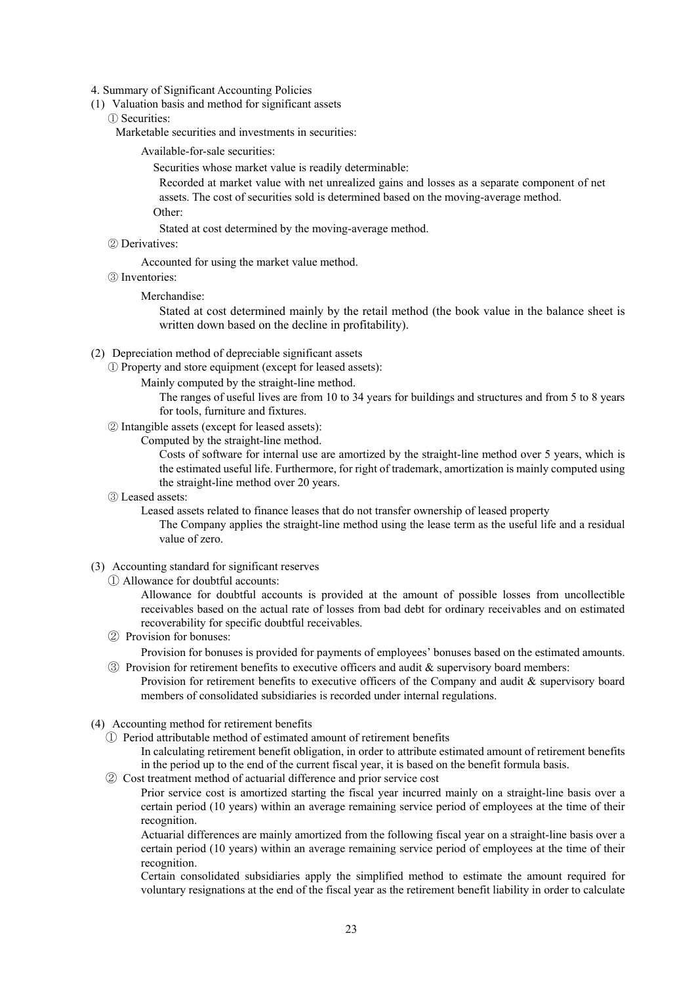- 4. Summary of Significant Accounting Policies
- (1) Valuation basis and method for significant assets
	- ① Securities:

Marketable securities and investments in securities:

Available-for-sale securities:

Securities whose market value is readily determinable:

Recorded at market value with net unrealized gains and losses as a separate component of net assets. The cost of securities sold is determined based on the moving-average method. Other:

Stated at cost determined by the moving-average method.

② Derivatives:

Accounted for using the market value method.

③ Inventories:

Merchandise:

Stated at cost determined mainly by the retail method (the book value in the balance sheet is written down based on the decline in profitability).

- (2) Depreciation method of depreciable significant assets
	- ① Property and store equipment (except for leased assets):

Mainly computed by the straight-line method.

The ranges of useful lives are from 10 to 34 years for buildings and structures and from 5 to 8 years for tools, furniture and fixtures.

② Intangible assets (except for leased assets):

Computed by the straight-line method.

Costs of software for internal use are amortized by the straight-line method over 5 years, which is the estimated useful life. Furthermore, for right of trademark, amortization is mainly computed using the straight-line method over 20 years.

③ Leased assets:

Leased assets related to finance leases that do not transfer ownership of leased property

The Company applies the straight-line method using the lease term as the useful life and a residual value of zero.

- (3) Accounting standard for significant reserves
	- ① Allowance for doubtful accounts:

Allowance for doubtful accounts is provided at the amount of possible losses from uncollectible receivables based on the actual rate of losses from bad debt for ordinary receivables and on estimated recoverability for specific doubtful receivables.

② Provision for bonuses:

Provision for bonuses is provided for payments of employees' bonuses based on the estimated amounts. ③ Provision for retirement benefits to executive officers and audit & supervisory board members:

- Provision for retirement benefits to executive officers of the Company and audit & supervisory board members of consolidated subsidiaries is recorded under internal regulations.
- (4) Accounting method for retirement benefits
	- ① Period attributable method of estimated amount of retirement benefits

In calculating retirement benefit obligation, in order to attribute estimated amount of retirement benefits in the period up to the end of the current fiscal year, it is based on the benefit formula basis.

② Cost treatment method of actuarial difference and prior service cost

Prior service cost is amortized starting the fiscal year incurred mainly on a straight-line basis over a certain period (10 years) within an average remaining service period of employees at the time of their recognition.

Actuarial differences are mainly amortized from the following fiscal year on a straight-line basis over a certain period (10 years) within an average remaining service period of employees at the time of their recognition.

Certain consolidated subsidiaries apply the simplified method to estimate the amount required for voluntary resignations at the end of the fiscal year as the retirement benefit liability in order to calculate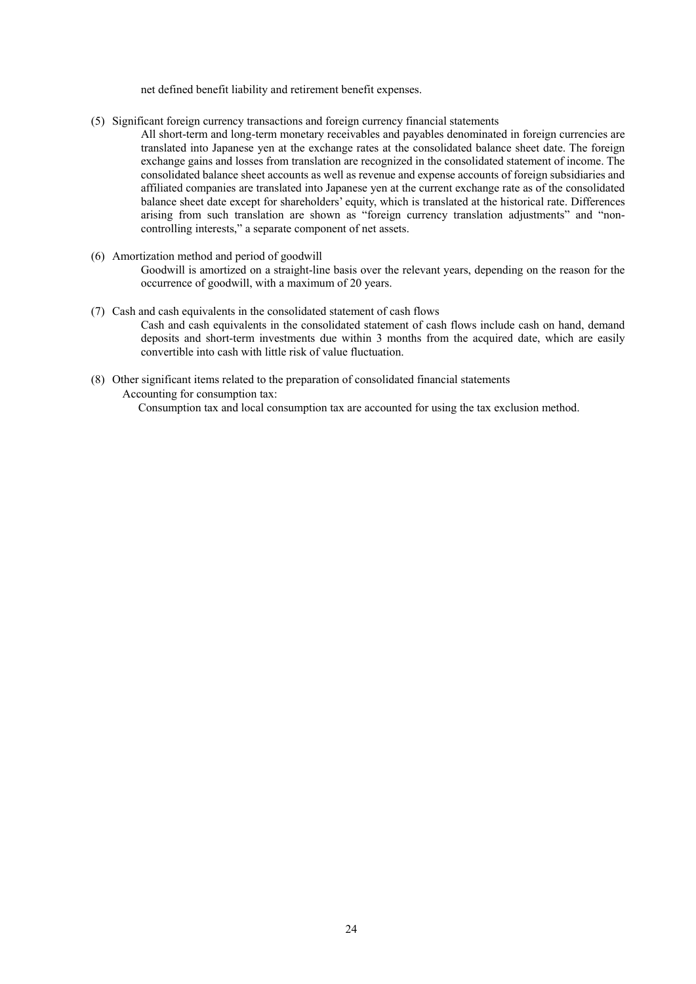net defined benefit liability and retirement benefit expenses.

- (5) Significant foreign currency transactions and foreign currency financial statements
	- All short-term and long-term monetary receivables and payables denominated in foreign currencies are translated into Japanese yen at the exchange rates at the consolidated balance sheet date. The foreign exchange gains and losses from translation are recognized in the consolidated statement of income. The consolidated balance sheet accounts as well as revenue and expense accounts of foreign subsidiaries and affiliated companies are translated into Japanese yen at the current exchange rate as of the consolidated balance sheet date except for shareholders' equity, which is translated at the historical rate. Differences arising from such translation are shown as "foreign currency translation adjustments" and "noncontrolling interests," a separate component of net assets.
- (6) Amortization method and period of goodwill Goodwill is amortized on a straight-line basis over the relevant years, depending on the reason for the occurrence of goodwill, with a maximum of 20 years.
- (7) Cash and cash equivalents in the consolidated statement of cash flows Cash and cash equivalents in the consolidated statement of cash flows include cash on hand, demand deposits and short-term investments due within 3 months from the acquired date, which are easily convertible into cash with little risk of value fluctuation.
- (8) Other significant items related to the preparation of consolidated financial statements Accounting for consumption tax:

Consumption tax and local consumption tax are accounted for using the tax exclusion method.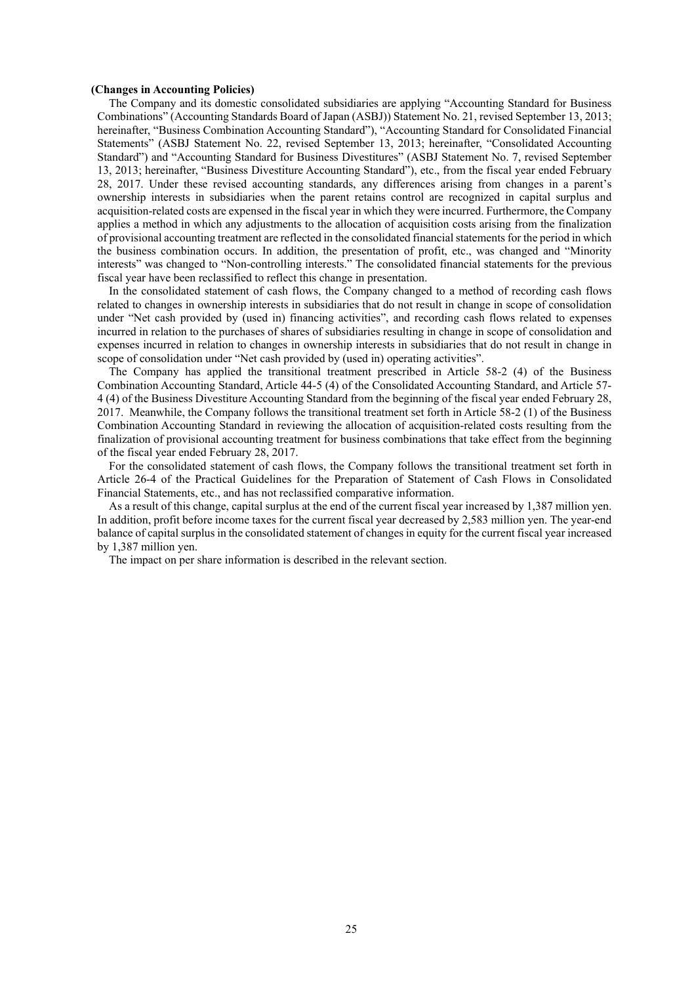#### **(Changes in Accounting Policies)**

The Company and its domestic consolidated subsidiaries are applying "Accounting Standard for Business Combinations" (Accounting Standards Board of Japan (ASBJ)) Statement No. 21, revised September 13, 2013; hereinafter, "Business Combination Accounting Standard"), "Accounting Standard for Consolidated Financial Statements" (ASBJ Statement No. 22, revised September 13, 2013; hereinafter, "Consolidated Accounting Standard") and "Accounting Standard for Business Divestitures" (ASBJ Statement No. 7, revised September 13, 2013; hereinafter, "Business Divestiture Accounting Standard"), etc., from the fiscal year ended February 28, 2017. Under these revised accounting standards, any differences arising from changes in a parent's ownership interests in subsidiaries when the parent retains control are recognized in capital surplus and acquisition-related costs are expensed in the fiscal year in which they were incurred. Furthermore, the Company applies a method in which any adjustments to the allocation of acquisition costs arising from the finalization of provisional accounting treatment are reflected in the consolidated financial statements for the period in which the business combination occurs. In addition, the presentation of profit, etc., was changed and "Minority interests" was changed to "Non-controlling interests." The consolidated financial statements for the previous fiscal year have been reclassified to reflect this change in presentation.

In the consolidated statement of cash flows, the Company changed to a method of recording cash flows related to changes in ownership interests in subsidiaries that do not result in change in scope of consolidation under "Net cash provided by (used in) financing activities", and recording cash flows related to expenses incurred in relation to the purchases of shares of subsidiaries resulting in change in scope of consolidation and expenses incurred in relation to changes in ownership interests in subsidiaries that do not result in change in scope of consolidation under "Net cash provided by (used in) operating activities".

The Company has applied the transitional treatment prescribed in Article 58-2 (4) of the Business Combination Accounting Standard, Article 44-5 (4) of the Consolidated Accounting Standard, and Article 57- 4 (4) of the Business Divestiture Accounting Standard from the beginning of the fiscal year ended February 28, 2017. Meanwhile, the Company follows the transitional treatment set forth in Article 58-2 (1) of the Business Combination Accounting Standard in reviewing the allocation of acquisition-related costs resulting from the finalization of provisional accounting treatment for business combinations that take effect from the beginning of the fiscal year ended February 28, 2017.

For the consolidated statement of cash flows, the Company follows the transitional treatment set forth in Article 26-4 of the Practical Guidelines for the Preparation of Statement of Cash Flows in Consolidated Financial Statements, etc., and has not reclassified comparative information.

As a result of this change, capital surplus at the end of the current fiscal year increased by 1,387 million yen. In addition, profit before income taxes for the current fiscal year decreased by 2,583 million yen. The year-end balance of capital surplus in the consolidated statement of changes in equity for the current fiscal year increased by 1,387 million yen.

The impact on per share information is described in the relevant section.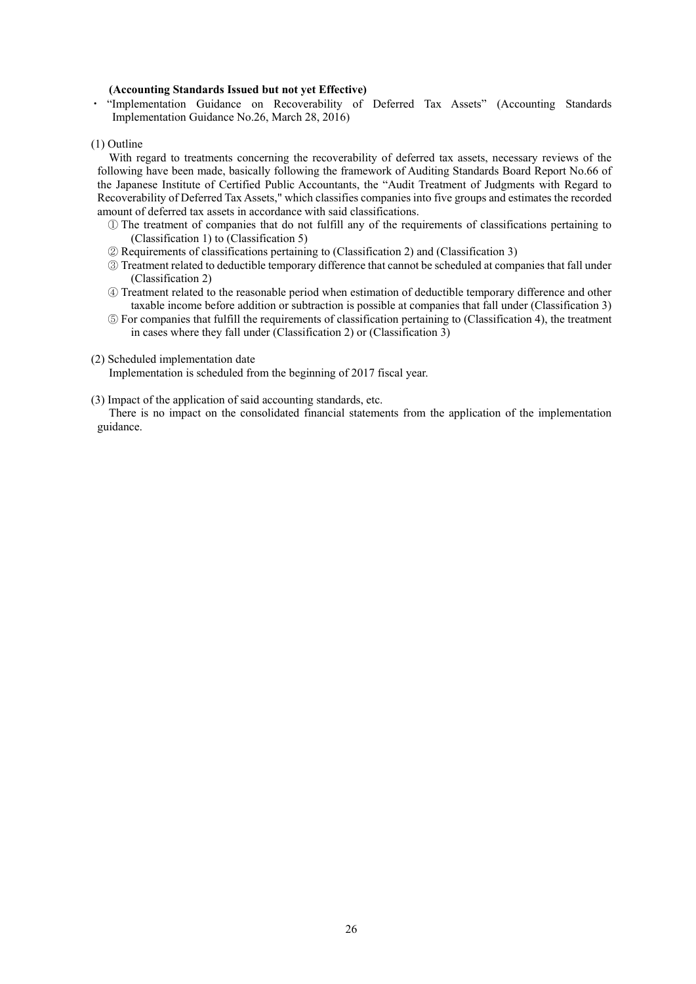#### **(Accounting Standards Issued but not yet Effective)**

・ "Implementation Guidance on Recoverability of Deferred Tax Assets" (Accounting Standards Implementation Guidance No.26, March 28, 2016)

(1) Outline

With regard to treatments concerning the recoverability of deferred tax assets, necessary reviews of the following have been made, basically following the framework of Auditing Standards Board Report No.66 of the Japanese Institute of Certified Public Accountants, the "Audit Treatment of Judgments with Regard to Recoverability of Deferred Tax Assets," which classifies companies into five groups and estimates the recorded amount of deferred tax assets in accordance with said classifications.

- ① The treatment of companies that do not fulfill any of the requirements of classifications pertaining to (Classification 1) to (Classification 5)
- ② Requirements of classifications pertaining to (Classification 2) and (Classification 3)
- ③ Treatment related to deductible temporary difference that cannot be scheduled at companies that fall under (Classification 2)
- ④ Treatment related to the reasonable period when estimation of deductible temporary difference and other taxable income before addition or subtraction is possible at companies that fall under (Classification 3)
- ⑤ For companies that fulfill the requirements of classification pertaining to (Classification 4), the treatment in cases where they fall under (Classification 2) or (Classification 3)
- (2) Scheduled implementation date

Implementation is scheduled from the beginning of 2017 fiscal year.

(3) Impact of the application of said accounting standards, etc.

There is no impact on the consolidated financial statements from the application of the implementation guidance.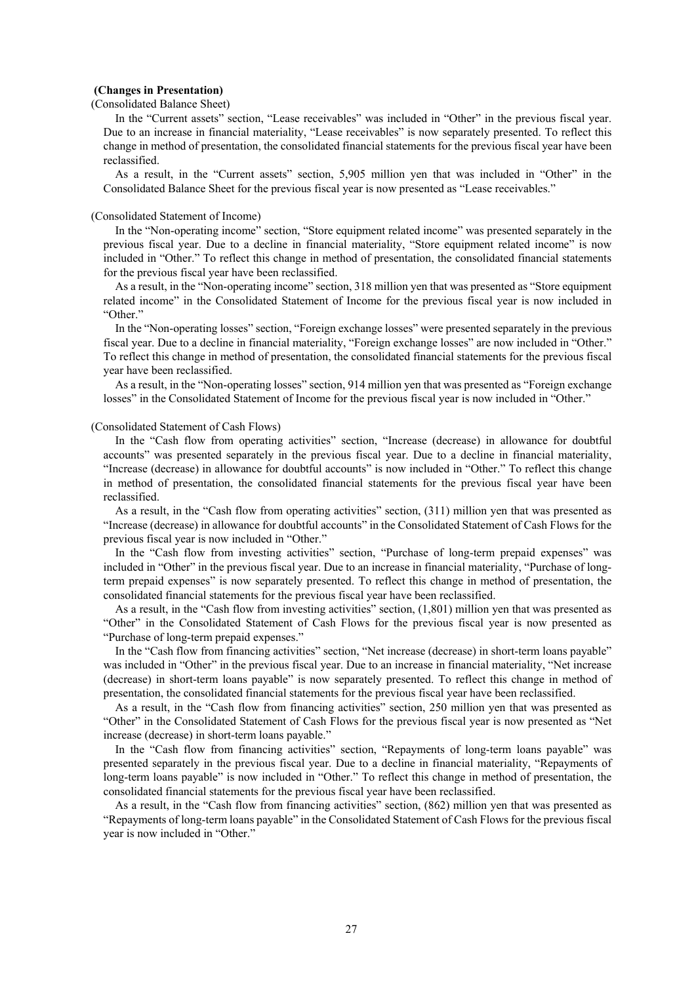#### **(Changes in Presentation)**

(Consolidated Balance Sheet)

In the "Current assets" section, "Lease receivables" was included in "Other" in the previous fiscal year. Due to an increase in financial materiality, "Lease receivables" is now separately presented. To reflect this change in method of presentation, the consolidated financial statements for the previous fiscal year have been reclassified.

As a result, in the "Current assets" section, 5,905 million yen that was included in "Other" in the Consolidated Balance Sheet for the previous fiscal year is now presented as "Lease receivables."

#### (Consolidated Statement of Income)

In the "Non-operating income" section, "Store equipment related income" was presented separately in the previous fiscal year. Due to a decline in financial materiality, "Store equipment related income" is now included in "Other." To reflect this change in method of presentation, the consolidated financial statements for the previous fiscal year have been reclassified.

As a result, in the "Non-operating income" section, 318 million yen that was presented as "Store equipment related income" in the Consolidated Statement of Income for the previous fiscal year is now included in "Other."

In the "Non-operating losses" section, "Foreign exchange losses" were presented separately in the previous fiscal year. Due to a decline in financial materiality, "Foreign exchange losses" are now included in "Other." To reflect this change in method of presentation, the consolidated financial statements for the previous fiscal year have been reclassified.

As a result, in the "Non-operating losses" section, 914 million yen that was presented as "Foreign exchange losses" in the Consolidated Statement of Income for the previous fiscal year is now included in "Other."

#### (Consolidated Statement of Cash Flows)

In the "Cash flow from operating activities" section, "Increase (decrease) in allowance for doubtful accounts" was presented separately in the previous fiscal year. Due to a decline in financial materiality, "Increase (decrease) in allowance for doubtful accounts" is now included in "Other." To reflect this change in method of presentation, the consolidated financial statements for the previous fiscal year have been reclassified.

As a result, in the "Cash flow from operating activities" section, (311) million yen that was presented as "Increase (decrease) in allowance for doubtful accounts" in the Consolidated Statement of Cash Flows for the previous fiscal year is now included in "Other."

In the "Cash flow from investing activities" section, "Purchase of long-term prepaid expenses" was included in "Other" in the previous fiscal year. Due to an increase in financial materiality, "Purchase of longterm prepaid expenses" is now separately presented. To reflect this change in method of presentation, the consolidated financial statements for the previous fiscal year have been reclassified.

As a result, in the "Cash flow from investing activities" section, (1,801) million yen that was presented as "Other" in the Consolidated Statement of Cash Flows for the previous fiscal year is now presented as "Purchase of long-term prepaid expenses."

In the "Cash flow from financing activities" section, "Net increase (decrease) in short-term loans payable" was included in "Other" in the previous fiscal year. Due to an increase in financial materiality, "Net increase (decrease) in short-term loans payable" is now separately presented. To reflect this change in method of presentation, the consolidated financial statements for the previous fiscal year have been reclassified.

As a result, in the "Cash flow from financing activities" section, 250 million yen that was presented as "Other" in the Consolidated Statement of Cash Flows for the previous fiscal year is now presented as "Net increase (decrease) in short-term loans payable."

In the "Cash flow from financing activities" section, "Repayments of long-term loans payable" was presented separately in the previous fiscal year. Due to a decline in financial materiality, "Repayments of long-term loans payable" is now included in "Other." To reflect this change in method of presentation, the consolidated financial statements for the previous fiscal year have been reclassified.

As a result, in the "Cash flow from financing activities" section, (862) million yen that was presented as "Repayments of long-term loans payable" in the Consolidated Statement of Cash Flows for the previous fiscal year is now included in "Other."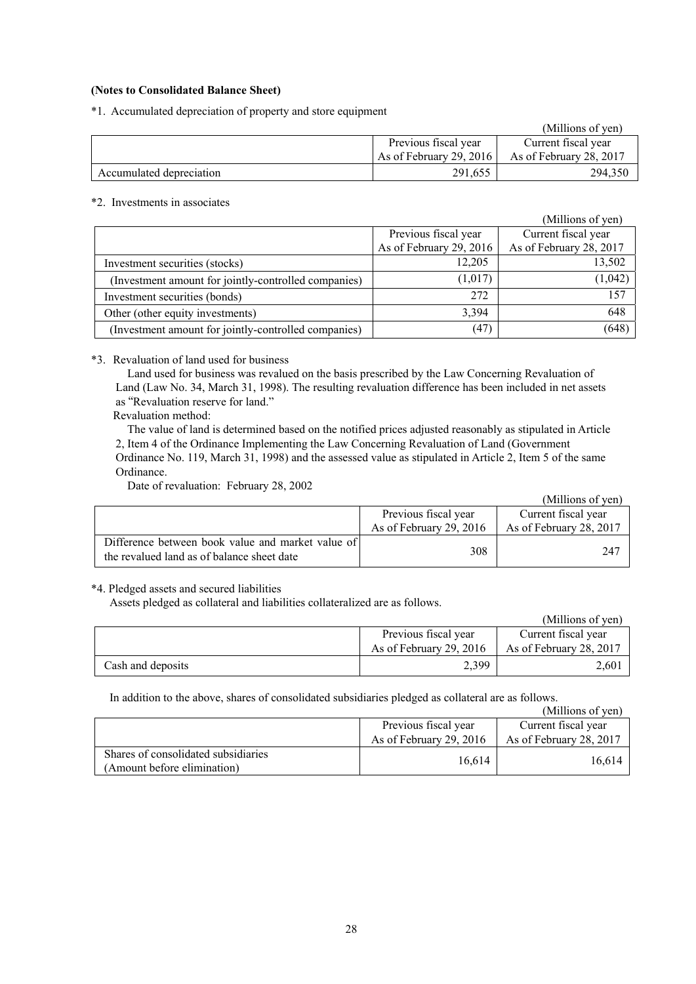## **(Notes to Consolidated Balance Sheet)**

\*1. Accumulated depreciation of property and store equipment

|                          |                         | (Millions of yen)       |
|--------------------------|-------------------------|-------------------------|
|                          | Previous fiscal year    | Current fiscal year     |
|                          | As of February 29, 2016 | As of February 28, 2017 |
| Accumulated depreciation | 291,655                 | 294.350                 |

# \*2. Investments in associates

|                                                      |                         | (Millions of yen)       |
|------------------------------------------------------|-------------------------|-------------------------|
|                                                      | Previous fiscal year    | Current fiscal year     |
|                                                      | As of February 29, 2016 | As of February 28, 2017 |
| Investment securities (stocks)                       | 12,205                  | 13,502                  |
| (Investment amount for jointly-controlled companies) | (1,017)                 | (1,042)                 |
| Investment securities (bonds)                        | 272                     | 157                     |
| Other (other equity investments)                     | 3.394                   | 648                     |
| (Investment amount for jointly-controlled companies) | (47)                    | (648)                   |

### \*3. Revaluation of land used for business

Land used for business was revalued on the basis prescribed by the Law Concerning Revaluation of Land (Law No. 34, March 31, 1998). The resulting revaluation difference has been included in net assets as "Revaluation reserve for land."

Revaluation method:

The value of land is determined based on the notified prices adjusted reasonably as stipulated in Article 2, Item 4 of the Ordinance Implementing the Law Concerning Revaluation of Land (Government Ordinance No. 119, March 31, 1998) and the assessed value as stipulated in Article 2, Item 5 of the same Ordinance.

Date of revaluation: February 28, 2002

|                                                                                                 |                         | (Millions of yen)       |
|-------------------------------------------------------------------------------------------------|-------------------------|-------------------------|
|                                                                                                 | Previous fiscal year    | Current fiscal year     |
|                                                                                                 | As of February 29, 2016 | As of February 28, 2017 |
| Difference between book value and market value of<br>the revalued land as of balance sheet date | 308                     | 247                     |

# \*4. Pledged assets and secured liabilities

Assets pledged as collateral and liabilities collateralized are as follows.

|                   |                         | (Millions of yen)       |
|-------------------|-------------------------|-------------------------|
|                   | Previous fiscal year    | Current fiscal year     |
|                   | As of February 29, 2016 | As of February 28, 2017 |
| Cash and deposits | 2,399                   | 2,601                   |

In addition to the above, shares of consolidated subsidiaries pledged as collateral are as follows.

|                                     |                         | (Millions of yen)       |
|-------------------------------------|-------------------------|-------------------------|
|                                     | Previous fiscal year    | Current fiscal year     |
|                                     | As of February 29, 2016 | As of February 28, 2017 |
| Shares of consolidated subsidiaries | 16.614                  | 16.614                  |
| (Amount before elimination)         |                         |                         |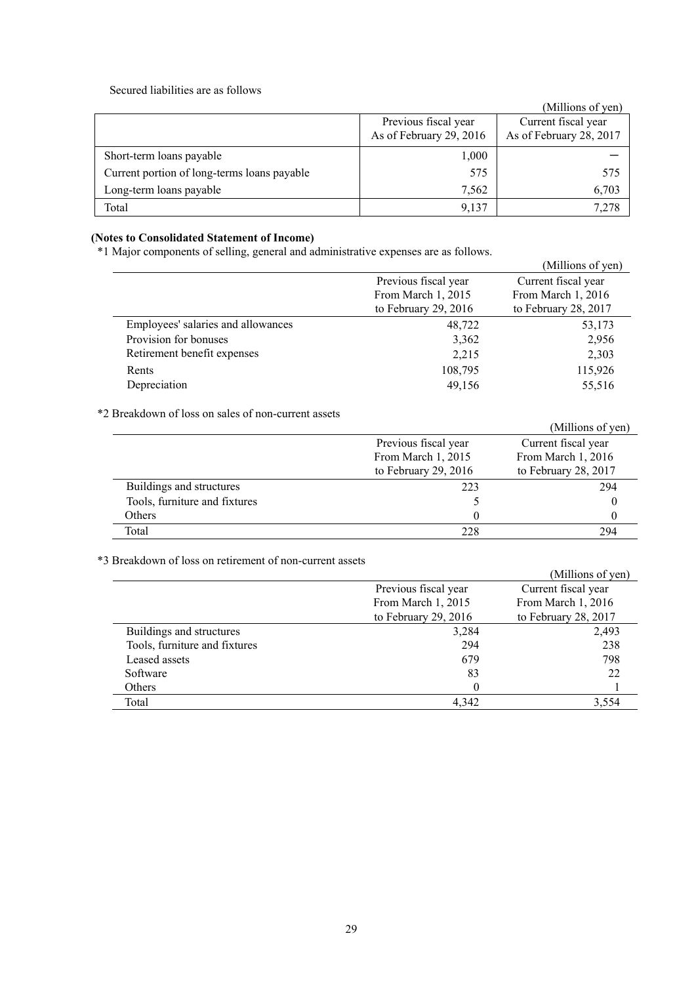### Secured liabilities are as follows

|                                             |                         | (Millions of yen)       |
|---------------------------------------------|-------------------------|-------------------------|
|                                             | Previous fiscal year    | Current fiscal year     |
|                                             | As of February 29, 2016 | As of February 28, 2017 |
| Short-term loans payable                    | 1,000                   |                         |
| Current portion of long-terms loans payable | 575                     | 575                     |
| Long-term loans payable                     | 7,562                   | 6,703                   |
| Total                                       | 9,137                   | 7.278                   |

# **(Notes to Consolidated Statement of Income)**

\*1 Major components of selling, general and administrative expenses are as follows.

| $\frac{1}{2}$        |                      |
|----------------------|----------------------|
|                      | (Millions of yen)    |
| Previous fiscal year | Current fiscal year  |
| From March 1, 2015   | From March 1, 2016   |
| to February 29, 2016 | to February 28, 2017 |
| 48,722               | 53,173               |
| 3,362                | 2,956                |
| 2,215                | 2,303                |
| 108,795              | 115,926              |
| 49,156               | 55,516               |
|                      |                      |

\*2 Breakdown of loss on sales of non-current assets

| DIVARAO MII OI 1099 OII 90109 OI 11011 VAHVIII 099VW |                      |                      |
|------------------------------------------------------|----------------------|----------------------|
|                                                      |                      | (Millions of yen)    |
|                                                      | Previous fiscal year | Current fiscal year  |
|                                                      | From March 1, 2015   | From March 1, 2016   |
|                                                      | to February 29, 2016 | to February 28, 2017 |
| Buildings and structures                             | 223                  | 294                  |
| Tools, furniture and fixtures                        |                      |                      |
| Others                                               |                      |                      |
| Total                                                | 228                  | 294                  |
|                                                      |                      |                      |

\*3 Breakdown of loss on retirement of non-current assets

| DICARDOWII OI 10SS OII TCHICHICHI OI 11011-CUITEIII ASSEIS |                        | (Millions of yen)    |
|------------------------------------------------------------|------------------------|----------------------|
|                                                            | Previous fiscal year   | Current fiscal year  |
|                                                            | From March 1, 2015     | From March 1, 2016   |
|                                                            | to February 29, $2016$ | to February 28, 2017 |
| Buildings and structures                                   | 3,284                  | 2,493                |
| Tools, furniture and fixtures                              | 294                    | 238                  |
| Leased assets                                              | 679                    | 798                  |
| Software                                                   | 83                     | 22                   |
| Others                                                     | $\theta$               |                      |
| Total                                                      | 4.342                  | 3,554                |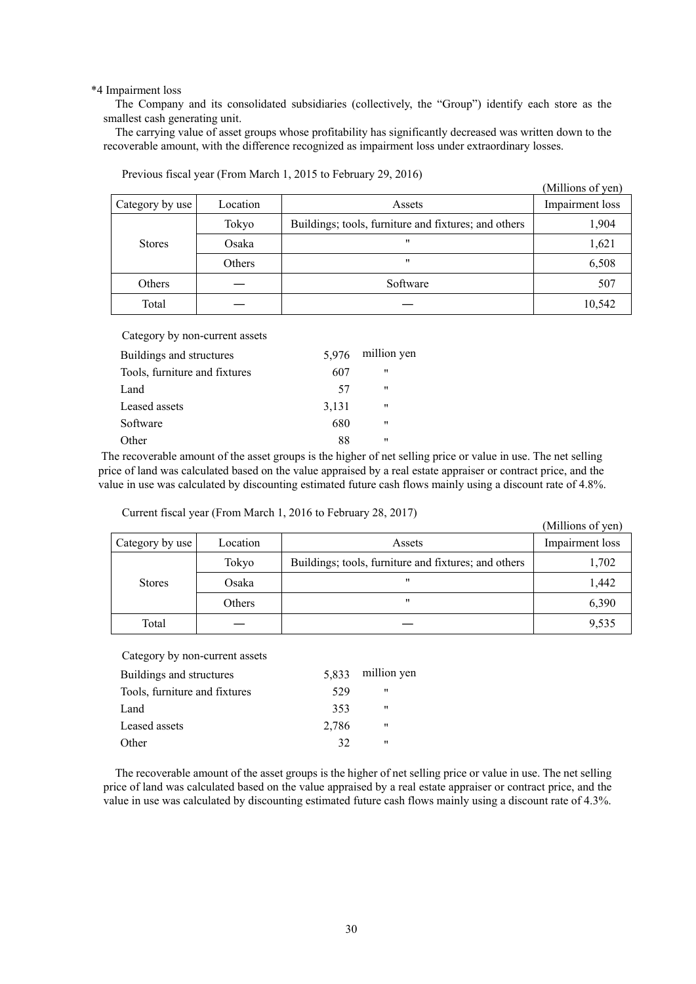\*4 Impairment loss

The Company and its consolidated subsidiaries (collectively, the "Group") identify each store as the smallest cash generating unit.

The carrying value of asset groups whose profitability has significantly decreased was written down to the recoverable amount, with the difference recognized as impairment loss under extraordinary losses.

|                 |          |                                                      | (Millions of yen) |
|-----------------|----------|------------------------------------------------------|-------------------|
| Category by use | Location | Assets                                               | Impairment loss   |
|                 | Tokyo    | Buildings; tools, furniture and fixtures; and others | 1,904             |
| <b>Stores</b>   | Osaka    | $^{\prime\prime}$                                    | 1,621             |
|                 | Others   | "                                                    | 6,508             |
| Others          |          | Software                                             | 507               |
| Total           |          |                                                      | 10,542            |

Previous fiscal year (From March 1, 2015 to February 29, 2016)

Category by non-current assets

| Buildings and structures      | 5.976 | million yen       |
|-------------------------------|-------|-------------------|
| Tools, furniture and fixtures | 607   | 11                |
| Land                          | 57    | .,                |
| Leased assets                 | 3,131 | $^{\prime\prime}$ |
| Software                      | 680   | $^{\prime\prime}$ |
| Other                         | 88    | "                 |

 The recoverable amount of the asset groups is the higher of net selling price or value in use. The net selling price of land was calculated based on the value appraised by a real estate appraiser or contract price, and the value in use was calculated by discounting estimated future cash flows mainly using a discount rate of 4.8%.

Current fiscal year (From March 1, 2016 to February 28, 2017)

|                 |          |                                                      | (Millions of yen) |
|-----------------|----------|------------------------------------------------------|-------------------|
| Category by use | Location | Assets                                               | Impairment loss   |
|                 | Tokyo    | Buildings; tools, furniture and fixtures; and others | 1,702             |
| <b>Stores</b>   | Osaka    | "                                                    | 1,442             |
|                 | Others   | "                                                    | 6,390             |
| Total           |          |                                                      | 9,535             |

Category by non-current assets

| 5.833 | million yen |
|-------|-------------|
| 529   | "           |
| 353   | "           |
| 2,786 | "           |
| 32    | "           |
|       |             |

The recoverable amount of the asset groups is the higher of net selling price or value in use. The net selling price of land was calculated based on the value appraised by a real estate appraiser or contract price, and the value in use was calculated by discounting estimated future cash flows mainly using a discount rate of 4.3%.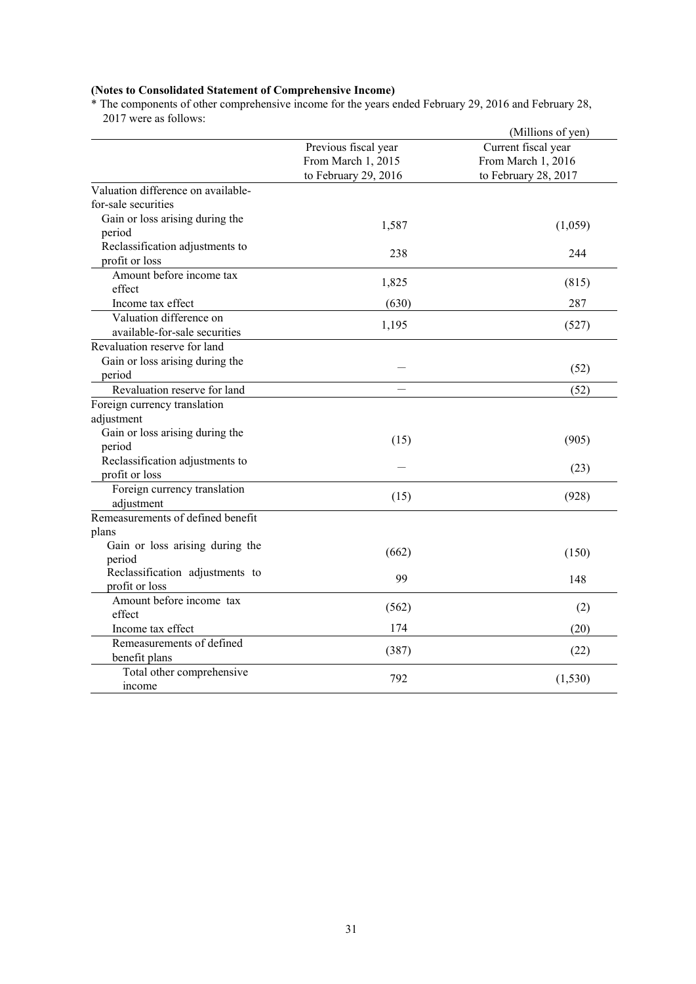#### **(Notes to Consolidated Statement of Comprehensive Income)**

\* The components of other comprehensive income for the years ended February 29, 2016 and February 28, 2017 were as follows:

|                                           |                                            | (Millions of yen)                         |
|-------------------------------------------|--------------------------------------------|-------------------------------------------|
|                                           | Previous fiscal year<br>From March 1, 2015 | Current fiscal year<br>From March 1, 2016 |
|                                           | to February 29, 2016                       | to February 28, 2017                      |
| Valuation difference on available-        |                                            |                                           |
| for-sale securities                       |                                            |                                           |
| Gain or loss arising during the           | 1,587                                      | (1,059)                                   |
| period                                    |                                            |                                           |
| Reclassification adjustments to           | 238                                        | 244                                       |
| profit or loss                            |                                            |                                           |
| Amount before income tax                  | 1,825                                      | (815)                                     |
| effect                                    |                                            |                                           |
| Income tax effect                         | (630)                                      | 287                                       |
| Valuation difference on                   | 1,195                                      | (527)                                     |
| available-for-sale securities             |                                            |                                           |
| Revaluation reserve for land              |                                            |                                           |
| Gain or loss arising during the           |                                            | (52)                                      |
| period                                    |                                            |                                           |
| Revaluation reserve for land              |                                            | (52)                                      |
| Foreign currency translation              |                                            |                                           |
| adjustment                                |                                            |                                           |
| Gain or loss arising during the           | (15)                                       | (905)                                     |
| period                                    |                                            |                                           |
| Reclassification adjustments to           |                                            | (23)                                      |
| profit or loss                            |                                            |                                           |
| Foreign currency translation              | (15)                                       | (928)                                     |
| adjustment                                |                                            |                                           |
| Remeasurements of defined benefit         |                                            |                                           |
| plans                                     |                                            |                                           |
| Gain or loss arising during the           | (662)                                      | (150)                                     |
| period<br>Reclassification adjustments to |                                            |                                           |
| profit or loss                            | 99                                         | 148                                       |
| Amount before income tax                  |                                            |                                           |
| effect                                    | (562)                                      | (2)                                       |
| Income tax effect                         | 174                                        | (20)                                      |
| Remeasurements of defined                 |                                            |                                           |
| benefit plans                             | (387)                                      | (22)                                      |
| Total other comprehensive                 |                                            |                                           |
| income                                    | 792                                        | (1, 530)                                  |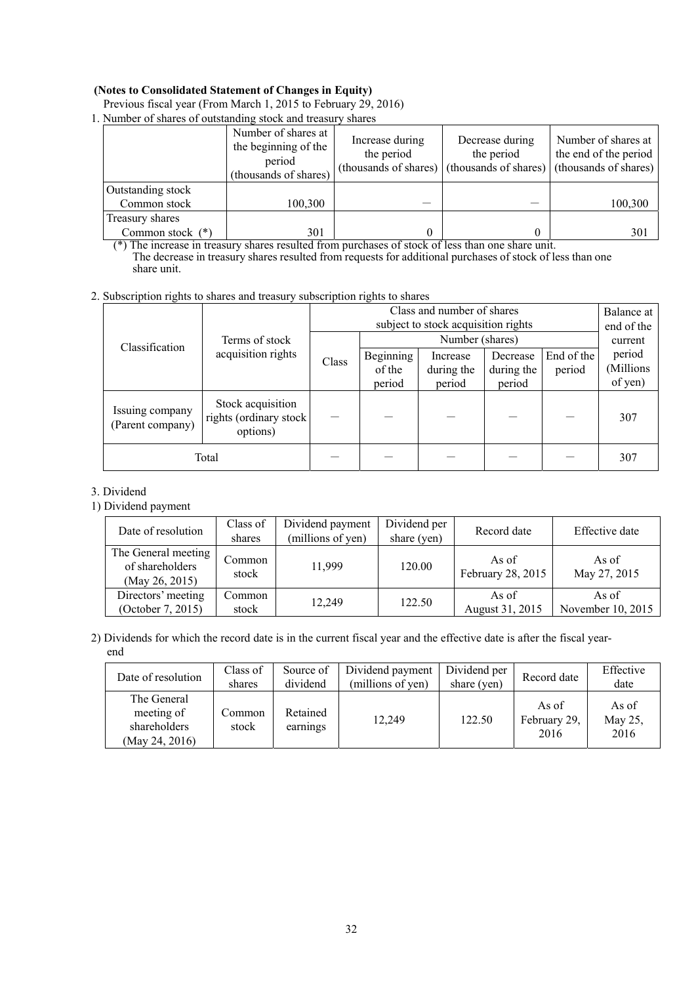## **(Notes to Consolidated Statement of Changes in Equity)**

| 1. Number of shares of outstanding stock and treasury shares |                                                                                |                               |                                                                                                    |                                              |  |  |  |  |  |
|--------------------------------------------------------------|--------------------------------------------------------------------------------|-------------------------------|----------------------------------------------------------------------------------------------------|----------------------------------------------|--|--|--|--|--|
|                                                              | Number of shares at<br>the beginning of the<br>period<br>(thousands of shares) | Increase during<br>the period | Decrease during<br>the period<br>(thousands of shares) (thousands of shares) (thousands of shares) | Number of shares at<br>the end of the period |  |  |  |  |  |
| Outstanding stock                                            |                                                                                |                               |                                                                                                    |                                              |  |  |  |  |  |
| Common stock                                                 | 100,300                                                                        |                               |                                                                                                    | 100,300                                      |  |  |  |  |  |
| Treasury shares                                              |                                                                                |                               |                                                                                                    |                                              |  |  |  |  |  |
| Common stock (*)                                             | 301                                                                            |                               |                                                                                                    | 301                                          |  |  |  |  |  |

Previous fiscal year (From March 1, 2015 to February 29, 2016)

(\*) The increase in treasury shares resulted from purchases of stock of less than one share unit. The decrease in treasury shares resulted from requests for additional purchases of stock of less than one share unit.

## 2. Subscription rights to shares and treasury subscription rights to shares

|                                     |                                                         |       |           | Balance at                          |            |            |            |
|-------------------------------------|---------------------------------------------------------|-------|-----------|-------------------------------------|------------|------------|------------|
| Classification                      |                                                         |       |           | subject to stock acquisition rights |            |            | end of the |
|                                     | Terms of stock                                          |       |           | Number (shares)                     |            |            | current    |
|                                     | acquisition rights                                      | Class | Beginning | Increase                            | Decrease   | End of the | period     |
|                                     |                                                         |       | of the    | during the                          | during the | period     | (Millions  |
|                                     |                                                         |       | period    | period                              | period     |            | of yen)    |
| Issuing company<br>(Parent company) | Stock acquisition<br>rights (ordinary stock<br>options) |       |           |                                     |            |            | 307        |
|                                     | Total                                                   |       |           |                                     |            |            | 307        |

## 3. Dividend

1) Dividend payment

| Date of resolution                                       | Class of<br>shares | Dividend payment<br>(millions of yen) | Dividend per<br>share (yen) | Record date                | Effective date             |
|----------------------------------------------------------|--------------------|---------------------------------------|-----------------------------|----------------------------|----------------------------|
| The General meeting<br>of shareholders<br>(May 26, 2015) | Common<br>stock    | 11,999                                | 120.00                      | As of<br>February 28, 2015 | As of<br>May 27, 2015      |
| Directors' meeting<br>(October 7, 2015)                  | Common<br>stock    | 12,249                                | 122.50                      | As of<br>August 31, 2015   | As of<br>November 10, 2015 |

2) Dividends for which the record date is in the current fiscal year and the effective date is after the fiscal yearend

| Date of resolution                                          | Class of<br>shares | Source of<br>dividend | Dividend payment<br>(millions of yen) | Dividend per<br>share (yen) | Record date                   | Effective<br>date        |
|-------------------------------------------------------------|--------------------|-----------------------|---------------------------------------|-----------------------------|-------------------------------|--------------------------|
| The General<br>meeting of<br>shareholders<br>(May 24, 2016) | Common<br>stock    | Retained<br>earnings  | 12.249                                | 122.50                      | As of<br>February 29,<br>2016 | As of<br>May 25,<br>2016 |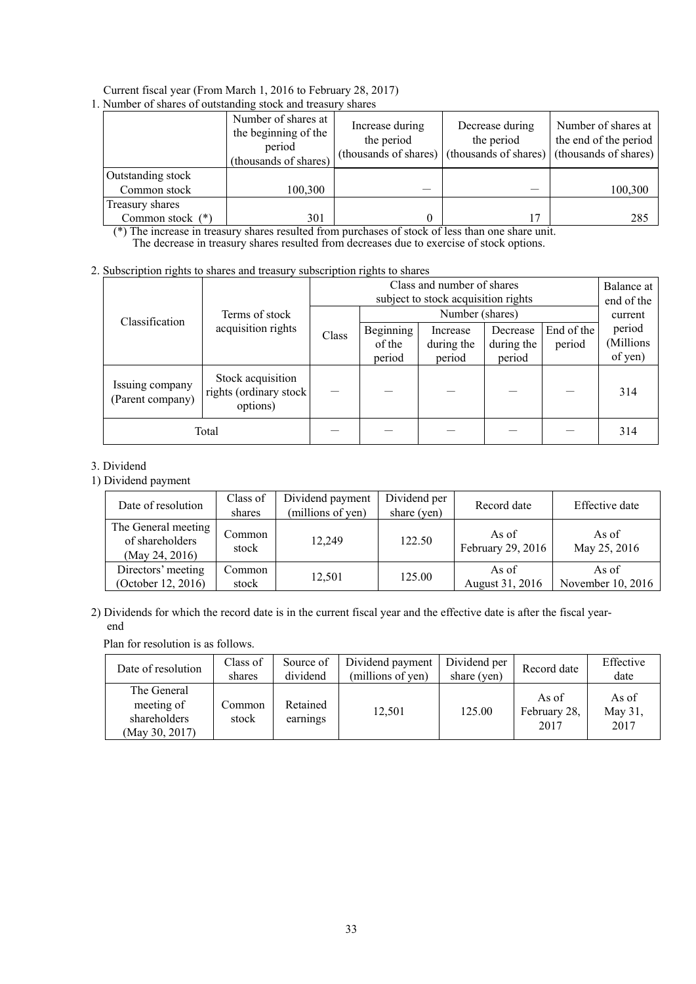# Current fiscal year (From March 1, 2016 to February 28, 2017)

| 1. Number of shares of outstanding stock and treasury shares |
|--------------------------------------------------------------|
|--------------------------------------------------------------|

|                   | Number of shares at<br>the beginning of the<br>period<br>(thousands of shares) | Increase during<br>the period<br>(thousands of shares) | Decrease during<br>the period<br>(thousands of shares) | Number of shares at<br>the end of the period<br>(thousands of shares) |
|-------------------|--------------------------------------------------------------------------------|--------------------------------------------------------|--------------------------------------------------------|-----------------------------------------------------------------------|
| Outstanding stock |                                                                                |                                                        |                                                        |                                                                       |
| Common stock      | 100,300                                                                        |                                                        |                                                        | 100,300                                                               |
| Treasury shares   |                                                                                |                                                        |                                                        |                                                                       |
| Common stock (*)  | 301<br>- - -                                                                   | 0                                                      | $\overline{\phantom{a}}$                               | 285                                                                   |

(\*) The increase in treasury shares resulted from purchases of stock of less than one share unit. The decrease in treasury shares resulted from decreases due to exercise of stock options.

# 2. Subscription rights to shares and treasury subscription rights to shares

|                                     |                                                          |       | Balance at<br>end of the |                 |            |            |           |
|-------------------------------------|----------------------------------------------------------|-------|--------------------------|-----------------|------------|------------|-----------|
| Classification                      | Terms of stock                                           |       |                          | Number (shares) |            |            | current   |
|                                     | acquisition rights                                       | Class | Beginning                | Increase        | Decrease   | End of the | period    |
|                                     |                                                          |       | of the                   | during the      | during the | period     | (Millions |
|                                     |                                                          |       | period                   | period          | period     |            | of yen)   |
| Issuing company<br>(Parent company) | Stock acquisition<br>rights (ordinary stock)<br>options) |       |                          |                 |            |            | 314       |
|                                     | Total                                                    |       |                          |                 |            |            | 314       |

# 3. Dividend

1) Dividend payment

| Date of resolution                                       | Class of<br>shares | Dividend per<br>Dividend payment<br>(millions of yen)<br>share (yen) |        | Record date                | Effective date             |  |
|----------------------------------------------------------|--------------------|----------------------------------------------------------------------|--------|----------------------------|----------------------------|--|
| The General meeting<br>of shareholders<br>(May 24, 2016) | Common<br>stock    | 12.249                                                               | 122.50 | As of<br>February 29, 2016 | As of<br>May 25, 2016      |  |
| Directors' meeting<br>(October 12, 2016)                 | Common<br>stock    | 12,501                                                               | 125.00 | As of<br>August 31, 2016   | As of<br>November 10, 2016 |  |

# 2) Dividends for which the record date is in the current fiscal year and the effective date is after the fiscal yearend

Plan for resolution is as follows.

| Date of resolution                                          | Class of<br>shares | Source of<br>dividend | Dividend payment<br>(millions of yen) | Dividend per<br>share (yen) | Record date                   | Effective<br>date        |
|-------------------------------------------------------------|--------------------|-----------------------|---------------------------------------|-----------------------------|-------------------------------|--------------------------|
| The General<br>meeting of<br>shareholders<br>(May 30, 2017) | Common<br>stock    | Retained<br>earnings  | 12,501                                | 125.00                      | As of<br>February 28,<br>2017 | As of<br>May 31,<br>2017 |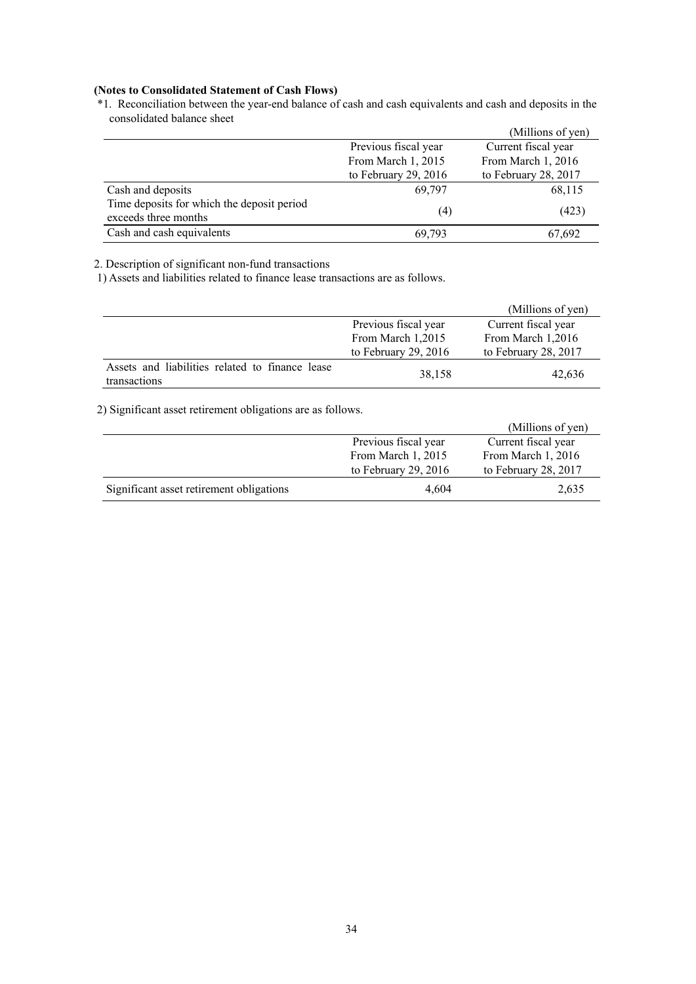# **(Notes to Consolidated Statement of Cash Flows)**

\*1. Reconciliation between the year-end balance of cash and cash equivalents and cash and deposits in the consolidated balance sheet

|                                                                    |                      | (Millions of yen)    |
|--------------------------------------------------------------------|----------------------|----------------------|
|                                                                    | Previous fiscal year | Current fiscal year  |
|                                                                    | From March 1, 2015   | From March 1, 2016   |
|                                                                    | to February 29, 2016 | to February 28, 2017 |
| Cash and deposits                                                  | 69.797               | 68,115               |
| Time deposits for which the deposit period<br>exceeds three months | (4)                  | (423)                |
| Cash and cash equivalents                                          | 69.793               | 67,692               |

# 2. Description of significant non-fund transactions

1) Assets and liabilities related to finance lease transactions are as follows.

|                                                                 |                        | (Millions of yen)    |
|-----------------------------------------------------------------|------------------------|----------------------|
|                                                                 | Previous fiscal year   | Current fiscal year  |
|                                                                 | From March 1,2015      | From March 1,2016    |
|                                                                 | to February 29, $2016$ | to February 28, 2017 |
| Assets and liabilities related to finance lease<br>transactions | 38,158                 | 42,636               |

# 2) Significant asset retirement obligations are as follows.

|                                          |                      | (Millions of yen)    |
|------------------------------------------|----------------------|----------------------|
|                                          | Previous fiscal year | Current fiscal year  |
|                                          | From March 1, 2015   | From March 1, 2016   |
|                                          | to February 29, 2016 | to February 28, 2017 |
| Significant asset retirement obligations | 4.604                | 2,635                |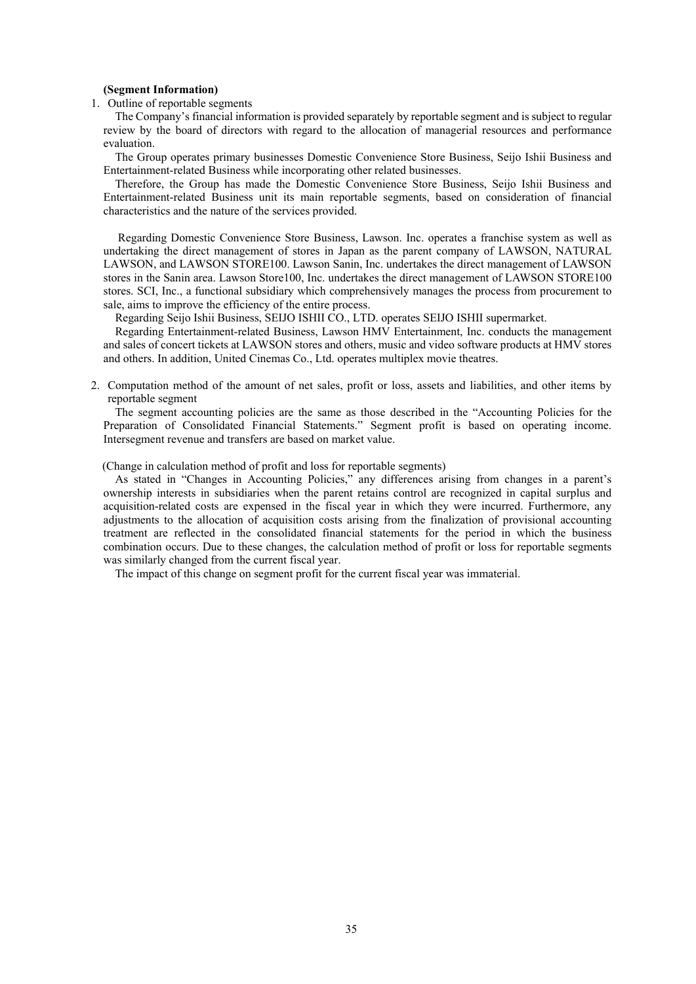#### **(Segment Information)**

1. Outline of reportable segments

The Company's financial information is provided separately by reportable segment and is subject to regular review by the board of directors with regard to the allocation of managerial resources and performance evaluation.

The Group operates primary businesses Domestic Convenience Store Business, Seijo Ishii Business and Entertainment-related Business while incorporating other related businesses.

Therefore, the Group has made the Domestic Convenience Store Business, Seijo Ishii Business and Entertainment-related Business unit its main reportable segments, based on consideration of financial characteristics and the nature of the services provided.

 Regarding Domestic Convenience Store Business, Lawson. Inc. operates a franchise system as well as undertaking the direct management of stores in Japan as the parent company of LAWSON, NATURAL LAWSON, and LAWSON STORE100. Lawson Sanin, Inc. undertakes the direct management of LAWSON stores in the Sanin area. Lawson Store100, Inc. undertakes the direct management of LAWSON STORE100 stores. SCI, Inc., a functional subsidiary which comprehensively manages the process from procurement to sale, aims to improve the efficiency of the entire process.

Regarding Seijo Ishii Business, SEIJO ISHII CO., LTD. operates SEIJO ISHII supermarket.

Regarding Entertainment-related Business, Lawson HMV Entertainment, Inc. conducts the management and sales of concert tickets at LAWSON stores and others, music and video software products at HMV stores and others. In addition, United Cinemas Co., Ltd. operates multiplex movie theatres.

2. Computation method of the amount of net sales, profit or loss, assets and liabilities, and other items by reportable segment

The segment accounting policies are the same as those described in the "Accounting Policies for the Preparation of Consolidated Financial Statements." Segment profit is based on operating income. Intersegment revenue and transfers are based on market value.

#### (Change in calculation method of profit and loss for reportable segments)

As stated in "Changes in Accounting Policies," any differences arising from changes in a parent's ownership interests in subsidiaries when the parent retains control are recognized in capital surplus and acquisition-related costs are expensed in the fiscal year in which they were incurred. Furthermore, any adjustments to the allocation of acquisition costs arising from the finalization of provisional accounting treatment are reflected in the consolidated financial statements for the period in which the business combination occurs. Due to these changes, the calculation method of profit or loss for reportable segments was similarly changed from the current fiscal year.

The impact of this change on segment profit for the current fiscal year was immaterial.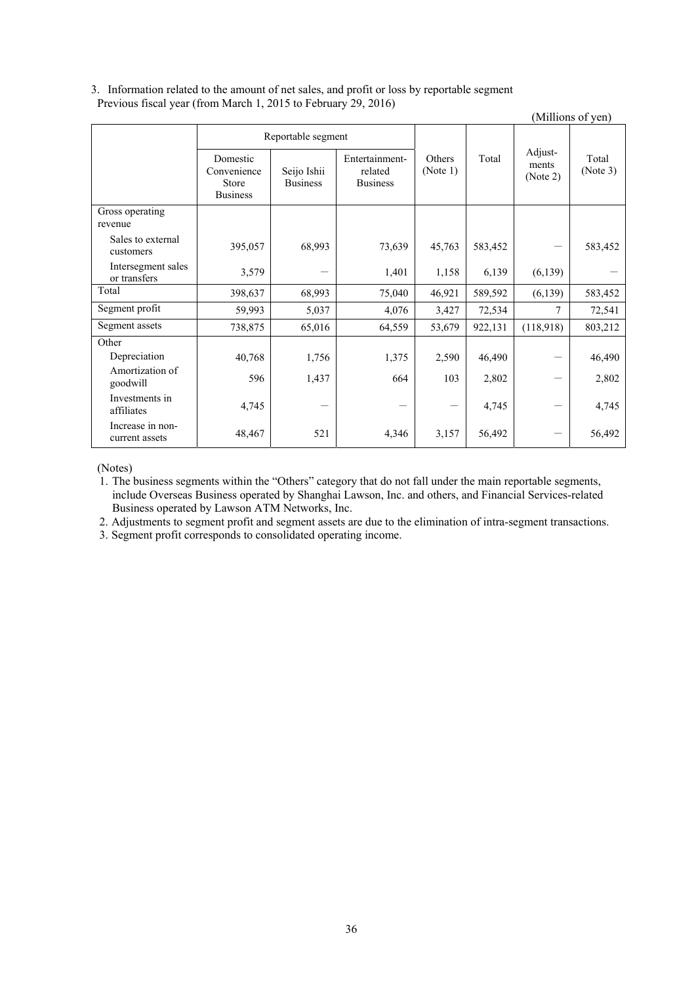# 3. Information related to the amount of net sales, and profit or loss by reportable segment Previous fiscal year (from March 1, 2015 to February 29, 2016)

|                                    |                                                     |                                |                                              |                           |         |                              | (Millions of yen) |
|------------------------------------|-----------------------------------------------------|--------------------------------|----------------------------------------------|---------------------------|---------|------------------------------|-------------------|
|                                    | Reportable segment                                  |                                |                                              |                           |         |                              |                   |
|                                    | Domestic<br>Convenience<br>Store<br><b>Business</b> | Seijo Ishii<br><b>Business</b> | Entertainment-<br>related<br><b>Business</b> | <b>Others</b><br>(Note 1) | Total   | Adjust-<br>ments<br>(Note 2) | Total<br>(Note 3) |
| Gross operating<br>revenue         |                                                     |                                |                                              |                           |         |                              |                   |
| Sales to external<br>customers     | 395,057                                             | 68,993                         | 73,639                                       | 45,763                    | 583,452 |                              | 583,452           |
| Intersegment sales<br>or transfers | 3,579                                               |                                | 1,401                                        | 1,158                     | 6,139   | (6, 139)                     |                   |
| Total                              | 398,637                                             | 68,993                         | 75,040                                       | 46,921                    | 589,592 | (6, 139)                     | 583,452           |
| Segment profit                     | 59,993                                              | 5,037                          | 4,076                                        | 3,427                     | 72,534  | 7                            | 72,541            |
| Segment assets                     | 738,875                                             | 65,016                         | 64,559                                       | 53,679                    | 922,131 | (118,918)                    | 803,212           |
| Other                              |                                                     |                                |                                              |                           |         |                              |                   |
| Depreciation                       | 40,768                                              | 1,756                          | 1,375                                        | 2,590                     | 46,490  |                              | 46,490            |
| Amortization of<br>goodwill        | 596                                                 | 1,437                          | 664                                          | 103                       | 2,802   |                              | 2,802             |
| Investments in<br>affiliates       | 4,745                                               |                                |                                              |                           | 4,745   |                              | 4,745             |
| Increase in non-<br>current assets | 48,467                                              | 521                            | 4,346                                        | 3,157                     | 56,492  |                              | 56,492            |

(Notes)

1. The business segments within the "Others" category that do not fall under the main reportable segments, include Overseas Business operated by Shanghai Lawson, Inc. and others, and Financial Services-related Business operated by Lawson ATM Networks, Inc.

2. Adjustments to segment profit and segment assets are due to the elimination of intra-segment transactions.

3. Segment profit corresponds to consolidated operating income.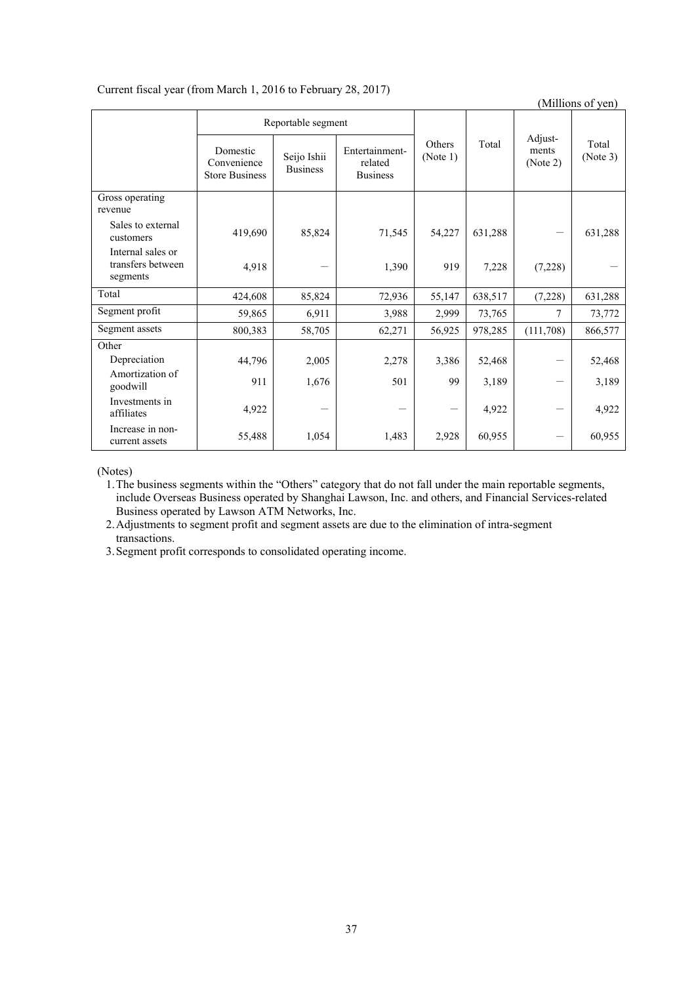# Current fiscal year (from March 1, 2016 to February 28, 2017)

(Millions of yen) Reportable segment Others (Note 1) Total Adjustments (Note 2) Total (Note 3) Domestic Convenience Store Business Seijo Ishii Business Entertainmentrelated Business Gross operating revenue Sales to external<br>customers customers 419,690 85,824 71,545 54,227 631,288 - 631,288 Internal sales or transfers between segments  $4,918$  - 1,390 919 7,228 (7,228) -Total 124,608 85,824 72,936 55,147 638,517 (7,228) 631,288 Segment profit 59,865 6,911 3,988 2,999 73,765 7 73,772 Segment assets 800,383 58,705 62,271 56,925 978,285 (111,708) 866,577 **Other** Depreciation | 44,796 2,005 2,278 3,386 52,468 - 52,468 Amortization of goodwill 911 1,676 501 99 3,189 - 3,189 Investments in  $\text{affiliates}$  4,922 -  $\begin{vmatrix} 4.922 & - & - & - & - & 4.922 \\ 4.922 & - & 4.922 & - & 4.922 \end{vmatrix}$ Increase in noncurrent assets  $55,488$  1,054 1,483 2,928 60,955 - 60,955

(Notes)

1.The business segments within the "Others" category that do not fall under the main reportable segments, include Overseas Business operated by Shanghai Lawson, Inc. and others, and Financial Services-related Business operated by Lawson ATM Networks, Inc.

2.Adjustments to segment profit and segment assets are due to the elimination of intra-segment transactions.

3.Segment profit corresponds to consolidated operating income.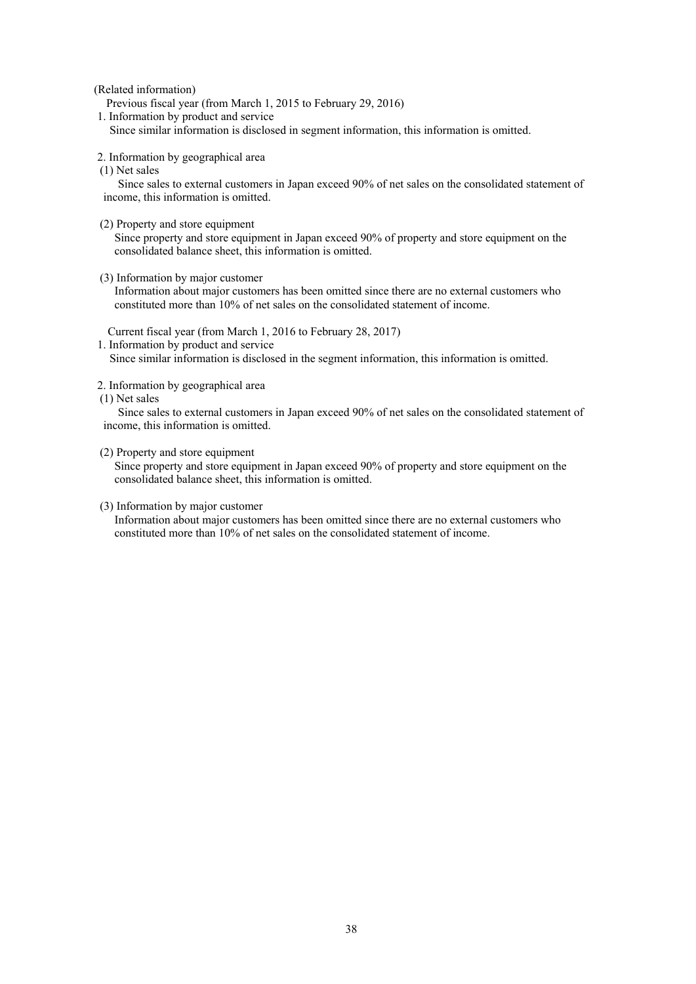(Related information)

Previous fiscal year (from March 1, 2015 to February 29, 2016)

1. Information by product and service

Since similar information is disclosed in segment information, this information is omitted.

- 2. Information by geographical area
- (1) Net sales

 Since sales to external customers in Japan exceed 90% of net sales on the consolidated statement of income, this information is omitted.

(2) Property and store equipment

 Since property and store equipment in Japan exceed 90% of property and store equipment on the consolidated balance sheet, this information is omitted.

(3) Information by major customer

 Information about major customers has been omitted since there are no external customers who constituted more than 10% of net sales on the consolidated statement of income.

Current fiscal year (from March 1, 2016 to February 28, 2017)

1. Information by product and service

Since similar information is disclosed in the segment information, this information is omitted.

- 2. Information by geographical area
- (1) Net sales

 Since sales to external customers in Japan exceed 90% of net sales on the consolidated statement of income, this information is omitted.

#### (2) Property and store equipment

 Since property and store equipment in Japan exceed 90% of property and store equipment on the consolidated balance sheet, this information is omitted.

### (3) Information by major customer

 Information about major customers has been omitted since there are no external customers who constituted more than 10% of net sales on the consolidated statement of income.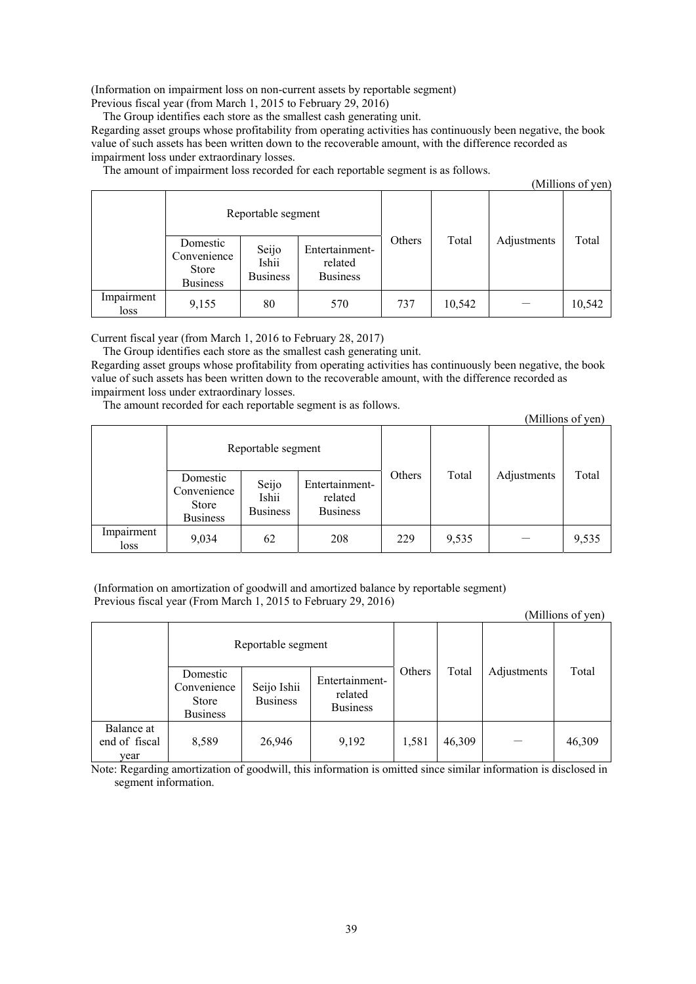(Information on impairment loss on non-current assets by reportable segment) Previous fiscal year (from March 1, 2015 to February 29, 2016)

The Group identifies each store as the smallest cash generating unit.

Regarding asset groups whose profitability from operating activities has continuously been negative, the book value of such assets has been written down to the recoverable amount, with the difference recorded as impairment loss under extraordinary losses.

The amount of impairment loss recorded for each reportable segment is as follows.

|                    |                                                     |                                   |                                              |        |        |             | (Millions of yen) |
|--------------------|-----------------------------------------------------|-----------------------------------|----------------------------------------------|--------|--------|-------------|-------------------|
|                    | Reportable segment                                  |                                   |                                              |        |        |             |                   |
|                    | Domestic<br>Convenience<br>Store<br><b>Business</b> | Seijo<br>Ishii<br><b>Business</b> | Entertainment-<br>related<br><b>Business</b> | Others | Total  | Adjustments | Total             |
| Impairment<br>loss | 9,155                                               | 80                                | 570                                          | 737    | 10,542 |             | 10,542            |

Current fiscal year (from March 1, 2016 to February 28, 2017)

The Group identifies each store as the smallest cash generating unit.

Regarding asset groups whose profitability from operating activities has continuously been negative, the book value of such assets has been written down to the recoverable amount, with the difference recorded as impairment loss under extraordinary losses.

The amount recorded for each reportable segment is as follows.

(Millions of yen)

|                    |                                                     | Reportable segment                |                                              |        |       |             |       |
|--------------------|-----------------------------------------------------|-----------------------------------|----------------------------------------------|--------|-------|-------------|-------|
|                    | Domestic<br>Convenience<br>Store<br><b>Business</b> | Seijo<br>Ishii<br><b>Business</b> | Entertainment-<br>related<br><b>Business</b> | Others | Total | Adjustments | Total |
| Impairment<br>loss | 9,034                                               | 62                                | 208                                          | 229    | 9,535 |             | 9,535 |

 (Information on amortization of goodwill and amortized balance by reportable segment) Previous fiscal year (From March 1, 2015 to February 29, 2016)

(Millions of yen)

| Reportable segment                  |                                                            |                                |                                              |        |        |             |        |
|-------------------------------------|------------------------------------------------------------|--------------------------------|----------------------------------------------|--------|--------|-------------|--------|
|                                     | Domestic<br>Convenience<br><b>Store</b><br><b>Business</b> | Seijo Ishii<br><b>Business</b> | Entertainment-<br>related<br><b>Business</b> | Others | Total  | Adjustments | Total  |
| Balance at<br>end of fiscal<br>year | 8,589                                                      | 26,946                         | 9,192                                        | 1,581  | 46,309 |             | 46,309 |

Note: Regarding amortization of goodwill, this information is omitted since similar information is disclosed in segment information.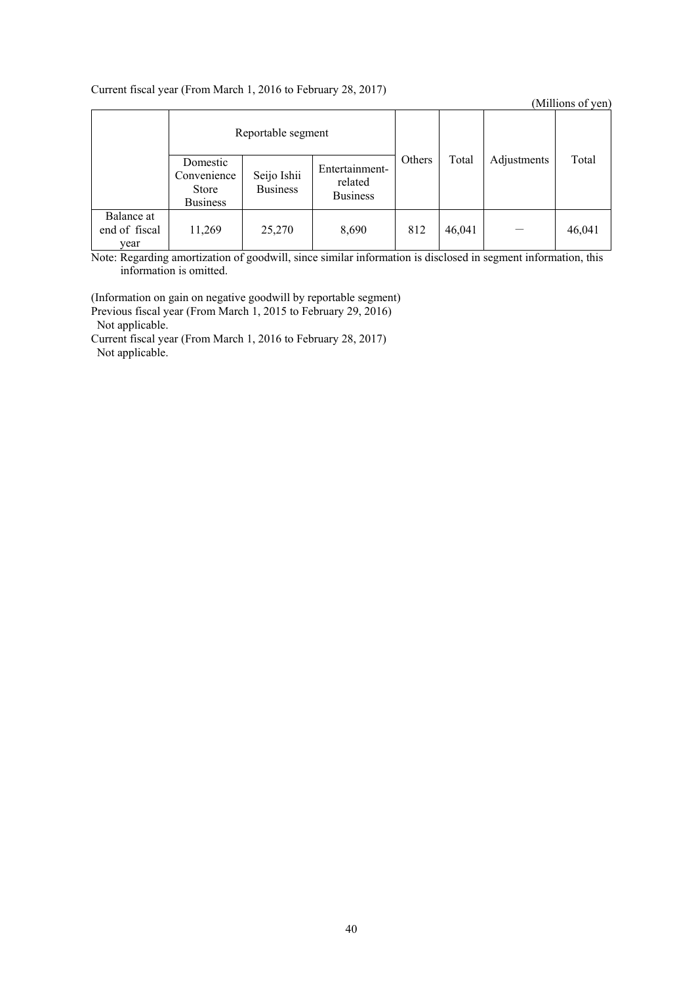# Current fiscal year (From March 1, 2016 to February 28, 2017)

|                                     |                                                     |                                |                                              |        |        |             | (Millions of yen) |
|-------------------------------------|-----------------------------------------------------|--------------------------------|----------------------------------------------|--------|--------|-------------|-------------------|
| Reportable segment                  |                                                     |                                |                                              |        |        |             |                   |
|                                     | Domestic<br>Convenience<br>Store<br><b>Business</b> | Seijo Ishii<br><b>Business</b> | Entertainment-<br>related<br><b>Business</b> | Others | Total  | Adjustments | Total             |
| Balance at<br>end of fiscal<br>year | 11,269                                              | 25,270                         | 8,690                                        | 812    | 46,041 |             | 46,041            |

Note: Regarding amortization of goodwill, since similar information is disclosed in segment information, this information is omitted.

(Information on gain on negative goodwill by reportable segment) Previous fiscal year (From March 1, 2015 to February 29, 2016) Not applicable. Current fiscal year (From March 1, 2016 to February 28, 2017)

Not applicable.